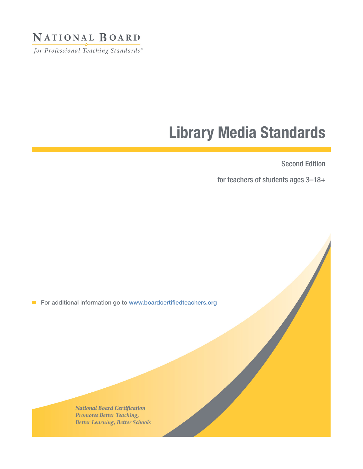### NATIONAL BOARD

for Professional Teaching Standards®

# Library Media Standards

Second Edition

for teachers of students ages 3–18+

For additional information go to www.boardcertifiedteachers.org

**National Board Certification** Promotes Better Teaching, **Better Learning, Better Schools**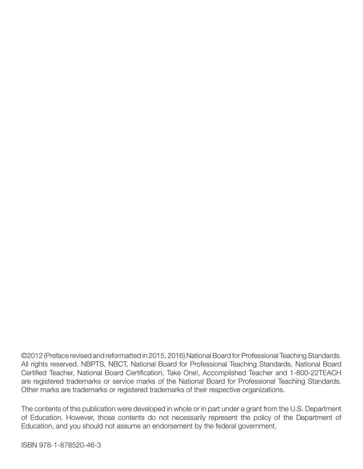©2012 (Preface revised and reformatted in 2015, 2016) National Board for Professional Teaching Standards. All rights reserved. NBPTS, NBCT, National Board for Professional Teaching Standards, National Board Certified Teacher, National Board Certification, Take One!, Accomplished Teacher and 1-800-22TEACH are registered trademarks or service marks of the National Board for Professional Teaching Standards. Other marks are trademarks or registered trademarks of their respective organizations.

The contents of this publication were developed in whole or in part under a grant from the U.S. Department of Education. However, those contents do not necessarily represent the policy of the Department of Education, and you should not assume an endorsement by the federal government.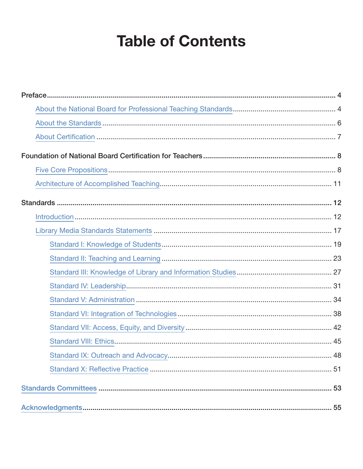# **Table of Contents**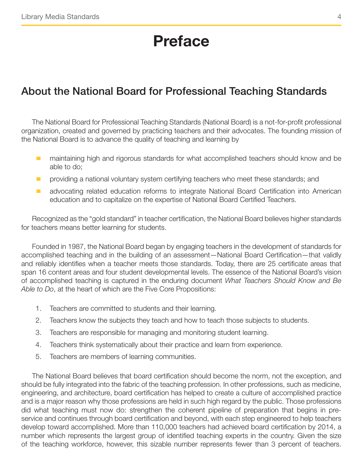# Preface

### <span id="page-3-0"></span>About the National Board for Professional Teaching Standards

The National Board for Professional Teaching Standards (National Board) is a not-for-profit professional organization, created and governed by practicing teachers and their advocates. The founding mission of the National Board is to advance the quality of teaching and learning by

- **number 10** maintaining high and rigorous standards for what accomplished teachers should know and be able to do;
- **n** providing a national voluntary system certifying teachers who meet these standards; and
- **E** advocating related education reforms to integrate National Board Certification into American education and to capitalize on the expertise of National Board Certified Teachers.

Recognized as the "gold standard" in teacher certification, the National Board believes higher standards for teachers means better learning for students.

Founded in 1987, the National Board began by engaging teachers in the development of standards for accomplished teaching and in the building of an assessment—National Board Certification—that validly and reliably identifies when a teacher meets those standards. Today, there are 25 certificate areas that span 16 content areas and four student developmental levels. The essence of the National Board's vision of accomplished teaching is captured in the enduring document *What Teachers Should Know and Be Able to Do*, at the heart of which are the Five Core Propositions:

- 1. Teachers are committed to students and their learning.
- 2. Teachers know the subjects they teach and how to teach those subjects to students.
- 3. Teachers are responsible for managing and monitoring student learning.
- 4. Teachers think systematically about their practice and learn from experience.
- 5. Teachers are members of learning communities.

The National Board believes that board certification should become the norm, not the exception, and should be fully integrated into the fabric of the teaching profession. In other professions, such as medicine, engineering, and architecture, board certification has helped to create a culture of accomplished practice and is a major reason why those professions are held in such high regard by the public. Those professions did what teaching must now do: strengthen the coherent pipeline of preparation that begins in preservice and continues through board certification and beyond, with each step engineered to help teachers develop toward accomplished. More than 110,000 teachers had achieved board certification by 2014, a number which represents the largest group of identified teaching experts in the country. Given the size of the teaching workforce, however, this sizable number represents fewer than 3 percent of teachers.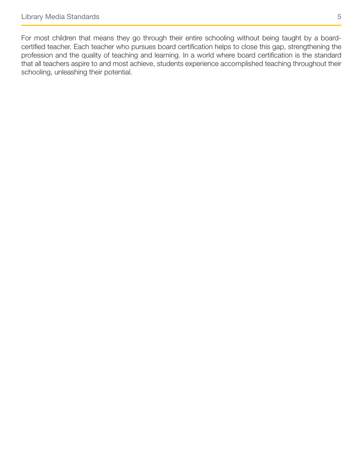For most children that means they go through their entire schooling without being taught by a boardcertified teacher. Each teacher who pursues board certification helps to close this gap, strengthening the profession and the quality of teaching and learning. In a world where board certification is the standard that all teachers aspire to and most achieve, students experience accomplished teaching throughout their schooling, unleashing their potential.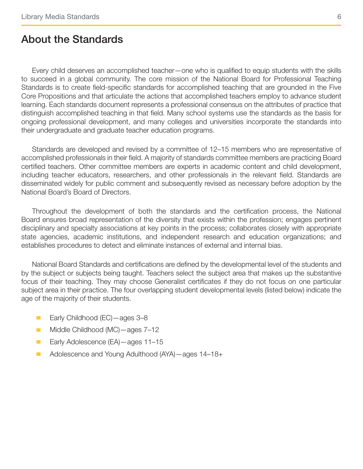### <span id="page-5-0"></span>About the Standards

Every child deserves an accomplished teacher—one who is qualified to equip students with the skills to succeed in a global community. The core mission of the National Board for Professional Teaching Standards is to create field-specific standards for accomplished teaching that are grounded in the Five Core Propositions and that articulate the actions that accomplished teachers employ to advance student learning. Each standards document represents a professional consensus on the attributes of practice that distinguish accomplished teaching in that field. Many school systems use the standards as the basis for ongoing professional development, and many colleges and universities incorporate the standards into their undergraduate and graduate teacher education programs.

Standards are developed and revised by a committee of 12–15 members who are representative of accomplished professionals in their field. A majority of standards committee members are practicing Board certified teachers. Other committee members are experts in academic content and child development, including teacher educators, researchers, and other professionals in the relevant field. Standards are disseminated widely for public comment and subsequently revised as necessary before adoption by the National Board's Board of Directors.

Throughout the development of both the standards and the certification process, the National Board ensures broad representation of the diversity that exists within the profession; engages pertinent disciplinary and specialty associations at key points in the process; collaborates closely with appropriate state agencies, academic institutions, and independent research and education organizations; and establishes procedures to detect and eliminate instances of external and internal bias.

National Board Standards and certifications are defined by the developmental level of the students and by the subject or subjects being taught. Teachers select the subject area that makes up the substantive focus of their teaching. They may choose Generalist certificates if they do not focus on one particular subject area in their practice. The four overlapping student developmental levels (listed below) indicate the age of the majority of their students.

- Early Childhood (EC) ages 3–8
- Middle Childhood (MC) ages 7-12
- Early Adolescence (EA) ages 11–15
- Adolescence and Young Adulthood (AYA) ages 14–18+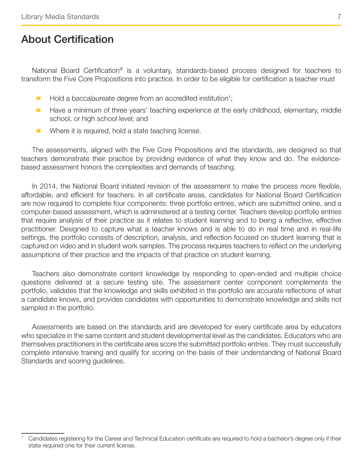### <span id="page-6-0"></span>About Certification

National Board Certification<sup>®</sup> is a voluntary, standards-based process designed for teachers to transform the Five Core Propositions into practice. In order to be eligible for certification a teacher must

- **E** Hold a baccalaureate degree from an accredited institution<sup>1</sup>;
- $\blacksquare$  Have a minimum of three years' teaching experience at the early childhood, elementary, middle school, or high school level; and
- **E** Where it is required, hold a state teaching license.

The assessments, aligned with the Five Core Propositions and the standards, are designed so that teachers demonstrate their practice by providing evidence of what they know and do. The evidencebased assessment honors the complexities and demands of teaching.

In 2014, the National Board initiated revision of the assessment to make the process more flexible, affordable, and efficient for teachers. In all certificate areas, candidates for National Board Certification are now required to complete four components: three portfolio entries, which are submitted online, and a computer-based assessment, which is administered at a testing center. Teachers develop portfolio entries that require analysis of their practice as it relates to student learning and to being a reflective, effective practitioner. Designed to capture what a teacher knows and is able to do in real time and in real-life settings, the portfolio consists of description, analysis, and reflection focused on student learning that is captured on video and in student work samples. The process requires teachers to reflect on the underlying assumptions of their practice and the impacts of that practice on student learning.

Teachers also demonstrate content knowledge by responding to open-ended and multiple choice questions delivered at a secure testing site. The assessment center component complements the portfolio, validates that the knowledge and skills exhibited in the portfolio are accurate reflections of what a candidate knows, and provides candidates with opportunities to demonstrate knowledge and skills not sampled in the portfolio.

Assessments are based on the standards and are developed for every certificate area by educators who specialize in the same content and student developmental level as the candidates. Educators who are themselves practitioners in the certificate area score the submitted portfolio entries. They must successfully complete intensive training and qualify for scoring on the basis of their understanding of National Board Standards and scoring guidelines.

<sup>1</sup> Candidates registering for the Career and Technical Education certificate are required to hold a bachelor's degree only if their state required one for their current license.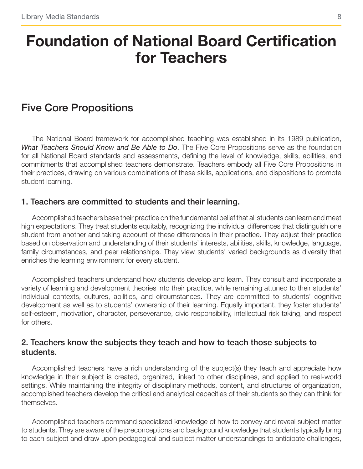# <span id="page-7-0"></span>Foundation of National Board Certification for Teachers

### Five Core Propositions

The National Board framework for accomplished teaching was established in its 1989 publication, *What Teachers Should Know and Be Able to Do*. The Five Core Propositions serve as the foundation for all National Board standards and assessments, defining the level of knowledge, skills, abilities, and commitments that accomplished teachers demonstrate. Teachers embody all Five Core Propositions in their practices, drawing on various combinations of these skills, applications, and dispositions to promote student learning.

#### 1. Teachers are committed to students and their learning.

Accomplished teachers base their practice on the fundamental belief that all students can learn and meet high expectations. They treat students equitably, recognizing the individual differences that distinguish one student from another and taking account of these differences in their practice. They adjust their practice based on observation and understanding of their students' interests, abilities, skills, knowledge, language, family circumstances, and peer relationships. They view students' varied backgrounds as diversity that enriches the learning environment for every student.

Accomplished teachers understand how students develop and learn. They consult and incorporate a variety of learning and development theories into their practice, while remaining attuned to their students' individual contexts, cultures, abilities, and circumstances. They are committed to students' cognitive development as well as to students' ownership of their learning. Equally important, they foster students' self-esteem, motivation, character, perseverance, civic responsibility, intellectual risk taking, and respect for others.

#### 2. Teachers know the subjects they teach and how to teach those subjects to students.

Accomplished teachers have a rich understanding of the subject(s) they teach and appreciate how knowledge in their subject is created, organized, linked to other disciplines, and applied to real-world settings. While maintaining the integrity of disciplinary methods, content, and structures of organization, accomplished teachers develop the critical and analytical capacities of their students so they can think for themselves.

Accomplished teachers command specialized knowledge of how to convey and reveal subject matter to students. They are aware of the preconceptions and background knowledge that students typically bring to each subject and draw upon pedagogical and subject matter understandings to anticipate challenges,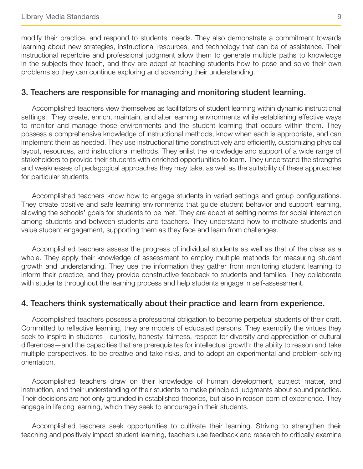modify their practice, and respond to students' needs. They also demonstrate a commitment towards learning about new strategies, instructional resources, and technology that can be of assistance. Their instructional repertoire and professional judgment allow them to generate multiple paths to knowledge in the subjects they teach, and they are adept at teaching students how to pose and solve their own problems so they can continue exploring and advancing their understanding.

#### 3. Teachers are responsible for managing and monitoring student learning.

Accomplished teachers view themselves as facilitators of student learning within dynamic instructional settings. They create, enrich, maintain, and alter learning environments while establishing effective ways to monitor and manage those environments and the student learning that occurs within them. They possess a comprehensive knowledge of instructional methods, know when each is appropriate, and can implement them as needed. They use instructional time constructively and efficiently, customizing physical layout, resources, and instructional methods. They enlist the knowledge and support of a wide range of stakeholders to provide their students with enriched opportunities to learn. They understand the strengths and weaknesses of pedagogical approaches they may take, as well as the suitability of these approaches for particular students.

Accomplished teachers know how to engage students in varied settings and group configurations. They create positive and safe learning environments that guide student behavior and support learning, allowing the schools' goals for students to be met. They are adept at setting norms for social interaction among students and between students and teachers. They understand how to motivate students and value student engagement, supporting them as they face and learn from challenges.

Accomplished teachers assess the progress of individual students as well as that of the class as a whole. They apply their knowledge of assessment to employ multiple methods for measuring student growth and understanding. They use the information they gather from monitoring student learning to inform their practice, and they provide constructive feedback to students and families. They collaborate with students throughout the learning process and help students engage in self-assessment.

#### 4. Teachers think systematically about their practice and learn from experience.

Accomplished teachers possess a professional obligation to become perpetual students of their craft. Committed to reflective learning, they are models of educated persons. They exemplify the virtues they seek to inspire in students—curiosity, honesty, fairness, respect for diversity and appreciation of cultural differences—and the capacities that are prerequisites for intellectual growth: the ability to reason and take multiple perspectives, to be creative and take risks, and to adopt an experimental and problem-solving orientation.

Accomplished teachers draw on their knowledge of human development, subject matter, and instruction, and their understanding of their students to make principled judgments about sound practice. Their decisions are not only grounded in established theories, but also in reason born of experience. They engage in lifelong learning, which they seek to encourage in their students.

Accomplished teachers seek opportunities to cultivate their learning. Striving to strengthen their teaching and positively impact student learning, teachers use feedback and research to critically examine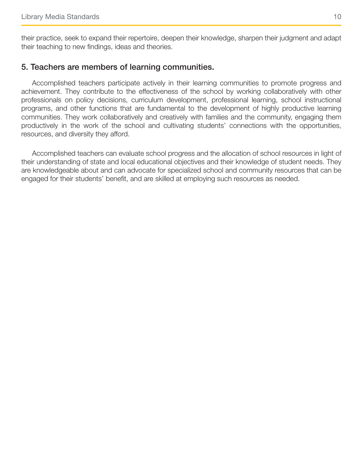<span id="page-9-0"></span>their practice, seek to expand their repertoire, deepen their knowledge, sharpen their judgment and adapt their teaching to new findings, ideas and theories.

#### 5. Teachers are members of learning communities.

Accomplished teachers participate actively in their learning communities to promote progress and achievement. They contribute to the effectiveness of the school by working collaboratively with other professionals on policy decisions, curriculum development, professional learning, school instructional programs, and other functions that are fundamental to the development of highly productive learning communities. They work collaboratively and creatively with families and the community, engaging them productively in the work of the school and cultivating students' connections with the opportunities, resources, and diversity they afford.

Accomplished teachers can evaluate school progress and the allocation of school resources in light of their understanding of state and local educational objectives and their knowledge of student needs. They are knowledgeable about and can advocate for specialized school and community resources that can be engaged for their students' benefit, and are skilled at employing such resources as needed.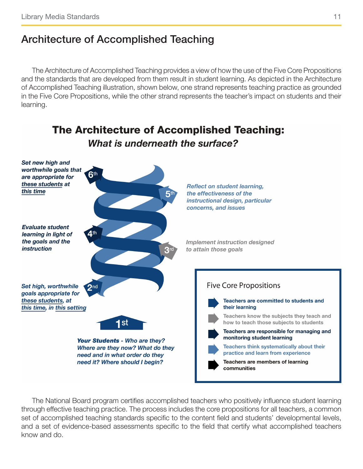### Architecture of Accomplished Teaching

The Architecture of Accomplished Teaching provides a view of how the use of the Five Core Propositions and the standards that are developed from them result in student learning. As depicted in the Architecture of Accomplished Teaching illustration, shown below, one strand represents teaching practice as grounded in the Five Core Propositions, while the other strand represents the teacher's impact on students and their learning.

**The Architecture of Accomplished Teaching:** 



The National Board program certifies accomplished teachers who positively influence student learning through effective teaching practice. The process includes the core propositions for all teachers, a common set of accomplished teaching standards specific to the content field and students' developmental levels, and a set of evidence-based assessments specific to the field that certify what accomplished teachers know and do.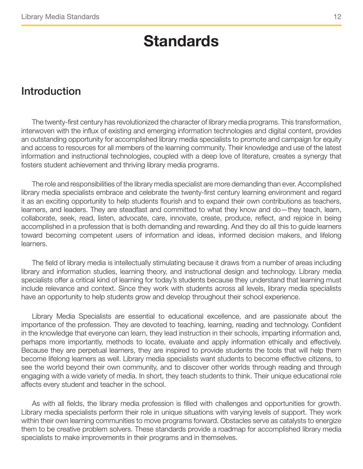# **Standards**

### <span id="page-11-0"></span>Introduction

The twenty-first century has revolutionized the character of library media programs. This transformation, interwoven with the influx of existing and emerging information technologies and digital content, provides an outstanding opportunity for accomplished library media specialists to promote and campaign for equity and access to resources for all members of the learning community. Their knowledge and use of the latest information and instructional technologies, coupled with a deep love of literature, creates a synergy that fosters student achievement and thriving library media programs.

The role and responsibilities of the library media specialist are more demanding than ever. Accomplished library media specialists embrace and celebrate the twenty-first century learning environment and regard it as an exciting opportunity to help students flourish and to expand their own contributions as teachers, learners, and leaders. They are steadfast and committed to what they know and do—they teach, learn, collaborate, seek, read, listen, advocate, care, innovate, create, produce, reflect, and rejoice in being accomplished in a profession that is both demanding and rewarding. And they do all this to guide learners toward becoming competent users of information and ideas, informed decision makers, and lifelong learners.

The field of library media is intellectually stimulating because it draws from a number of areas including library and information studies, learning theory, and instructional design and technology. Library media specialists offer a critical kind of learning for today's students because they understand that learning must include relevance and context. Since they work with students across all levels, library media specialists have an opportunity to help students grow and develop throughout their school experience.

Library Media Specialists are essential to educational excellence, and are passionate about the importance of the profession. They are devoted to teaching, learning, reading and technology. Confident in the knowledge that everyone can learn, they lead instruction in their schools, imparting information and, perhaps more importantly, methods to locate, evaluate and apply information ethically and effectively. Because they are perpetual learners, they are inspired to provide students the tools that will help them become lifelong learners as well. Library media specialists want students to become effective citizens, to see the world beyond their own community, and to discover other worlds through reading and through engaging with a wide variety of media. In short, they teach students to think. Their unique educational role affects every student and teacher in the school.

As with all fields, the library media profession is filled with challenges and opportunities for growth. Library media specialists perform their role in unique situations with varying levels of support. They work within their own learning communities to move programs forward. Obstacles serve as catalysts to energize them to be creative problem solvers. These standards provide a roadmap for accomplished library media specialists to make improvements in their programs and in themselves.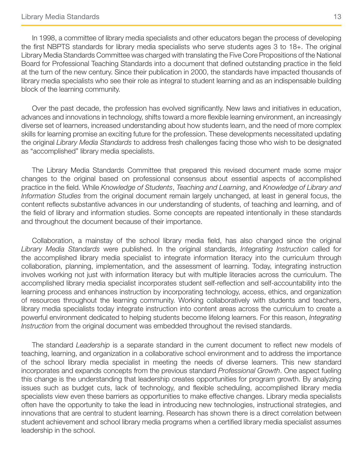In 1998, a committee of library media specialists and other educators began the process of developing the first NBPTS standards for library media specialists who serve students ages 3 to 18+. The original Library Media Standards Committee was charged with translating the Five Core Propositions of the National Board for Professional Teaching Standards into a document that defined outstanding practice in the field at the turn of the new century. Since their publication in 2000, the standards have impacted thousands of library media specialists who see their role as integral to student learning and as an indispensable building block of the learning community.

Over the past decade, the profession has evolved significantly. New laws and initiatives in education, advances and innovations in technology, shifts toward a more flexible learning environment, an increasingly diverse set of learners, increased understanding about how students learn, and the need of more complex skills for learning promise an exciting future for the profession. These developments necessitated updating the original *Library Media Standards* to address fresh challenges facing those who wish to be designated as "accomplished" library media specialists.

The Library Media Standards Committee that prepared this revised document made some major changes to the original based on professional consensus about essential aspects of accomplished practice in the field. While *Knowledge of Students*, *Teaching and Learning*, and *Knowledge of Library and Information Studies* from the original document remain largely unchanged, at least in general focus, the content reflects substantive advances in our understanding of students, of teaching and learning, and of the field of library and information studies. Some concepts are repeated intentionally in these standards and throughout the document because of their importance.

Collaboration, a mainstay of the school library media field, has also changed since the original *Library Media Standards* were published. In the original standards, *Integrating Instruction* called for the accomplished library media specialist to integrate information literacy into the curriculum through collaboration, planning, implementation, and the assessment of learning. Today, integrating instruction involves working not just with information literacy but with multiple literacies across the curriculum. The accomplished library media specialist incorporates student self-reflection and self-accountability into the learning process and enhances instruction by incorporating technology, access, ethics, and organization of resources throughout the learning community. Working collaboratively with students and teachers, library media specialists today integrate instruction into content areas across the curriculum to create a powerful environment dedicated to helping students become lifelong learners. For this reason, *Integrating Instruction* from the original document was embedded throughout the revised standards.

The standard *Leadership* is a separate standard in the current document to reflect new models of teaching, learning, and organization in a collaborative school environment and to address the importance of the school library media specialist in meeting the needs of diverse learners. This new standard incorporates and expands concepts from the previous standard *Professional Growth*. One aspect fueling this change is the understanding that leadership creates opportunities for program growth. By analyzing issues such as budget cuts, lack of technology, and flexible scheduling, accomplished library media specialists view even these barriers as opportunities to make effective changes. Library media specialists often have the opportunity to take the lead in introducing new technologies, instructional strategies, and innovations that are central to student learning. Research has shown there is a direct correlation between student achievement and school library media programs when a certified library media specialist assumes leadership in the school.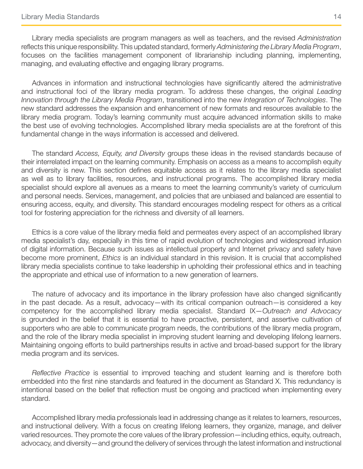Library media specialists are program managers as well as teachers, and the revised *Administration* reflects this unique responsibility. This updated standard, formerly *Administering the Library Media Program*, focuses on the facilities management component of librarianship including planning, implementing, managing, and evaluating effective and engaging library programs.

Advances in information and instructional technologies have significantly altered the administrative and instructional foci of the library media program. To address these changes, the original *Leading Innovation through the Library Media Program*, transitioned into the new *Integration of Technologies*. The new standard addresses the expansion and enhancement of new formats and resources available to the library media program. Today's learning community must acquire advanced information skills to make the best use of evolving technologies. Accomplished library media specialists are at the forefront of this fundamental change in the ways information is accessed and delivered.

The standard *Access, Equity, and Diversity* groups these ideas in the revised standards because of their interrelated impact on the learning community. Emphasis on access as a means to accomplish equity and diversity is new. This section defines equitable access as it relates to the library media specialist as well as to library facilities, resources, and instructional programs. The accomplished library media specialist should explore all avenues as a means to meet the learning community's variety of curriculum and personal needs. Services, management, and policies that are unbiased and balanced are essential to ensuring access, equity, and diversity. This standard encourages modeling respect for others as a critical tool for fostering appreciation for the richness and diversity of all learners.

Ethics is a core value of the library media field and permeates every aspect of an accomplished library media specialist's day, especially in this time of rapid evolution of technologies and widespread infusion of digital information. Because such issues as intellectual property and Internet privacy and safety have become more prominent, *Ethics* is an individual standard in this revision. It is crucial that accomplished library media specialists continue to take leadership in upholding their professional ethics and in teaching the appropriate and ethical use of information to a new generation of learners.

The nature of advocacy and its importance in the library profession have also changed significantly in the past decade. As a result, advocacy—with its critical companion outreach—is considered a key competency for the accomplished library media specialist. Standard IX—*Outreach and Advocacy* is grounded in the belief that it is essential to have proactive, persistent, and assertive cultivation of supporters who are able to communicate program needs, the contributions of the library media program, and the role of the library media specialist in improving student learning and developing lifelong learners. Maintaining ongoing efforts to build partnerships results in active and broad-based support for the library media program and its services.

*Reflective Practice* is essential to improved teaching and student learning and is therefore both embedded into the first nine standards and featured in the document as Standard X. This redundancy is intentional based on the belief that reflection must be ongoing and practiced when implementing every standard.

Accomplished library media professionals lead in addressing change as it relates to learners, resources, and instructional delivery. With a focus on creating lifelong learners, they organize, manage, and deliver varied resources. They promote the core values of the library profession—including ethics, equity, outreach, advocacy, and diversity—and ground the delivery of services through the latest information and instructional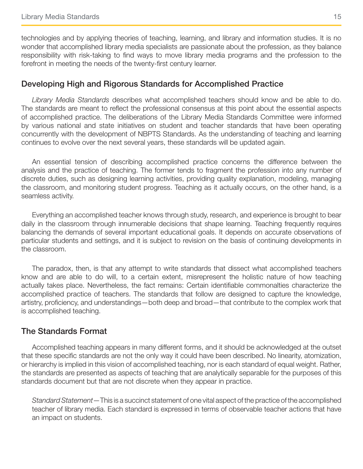technologies and by applying theories of teaching, learning, and library and information studies. It is no wonder that accomplished library media specialists are passionate about the profession, as they balance responsibility with risk-taking to find ways to move library media programs and the profession to the forefront in meeting the needs of the twenty-first century learner.

#### Developing High and Rigorous Standards for Accomplished Practice

*Library Media Standards* describes what accomplished teachers should know and be able to do. The standards are meant to reflect the professional consensus at this point about the essential aspects of accomplished practice. The deliberations of the Library Media Standards Committee were informed by various national and state initiatives on student and teacher standards that have been operating concurrently with the development of NBPTS Standards. As the understanding of teaching and learning continues to evolve over the next several years, these standards will be updated again.

An essential tension of describing accomplished practice concerns the difference between the analysis and the practice of teaching. The former tends to fragment the profession into any number of discrete duties, such as designing learning activities, providing quality explanation, modeling, managing the classroom, and monitoring student progress. Teaching as it actually occurs, on the other hand, is a seamless activity.

Everything an accomplished teacher knows through study, research, and experience is brought to bear daily in the classroom through innumerable decisions that shape learning. Teaching frequently requires balancing the demands of several important educational goals. It depends on accurate observations of particular students and settings, and it is subject to revision on the basis of continuing developments in the classroom.

The paradox, then, is that any attempt to write standards that dissect what accomplished teachers know and are able to do will, to a certain extent, misrepresent the holistic nature of how teaching actually takes place. Nevertheless, the fact remains: Certain identifiable commonalties characterize the accomplished practice of teachers. The standards that follow are designed to capture the knowledge, artistry, proficiency, and understandings—both deep and broad—that contribute to the complex work that is accomplished teaching.

#### The Standards Format

Accomplished teaching appears in many different forms, and it should be acknowledged at the outset that these specific standards are not the only way it could have been described. No linearity, atomization, or hierarchy is implied in this vision of accomplished teaching, nor is each standard of equal weight. Rather, the standards are presented as aspects of teaching that are analytically separable for the purposes of this standards document but that are not discrete when they appear in practice.

*Standard Statement*—This is a succinct statement of one vital aspect of the practice of the accomplished teacher of library media. Each standard is expressed in terms of observable teacher actions that have an impact on students.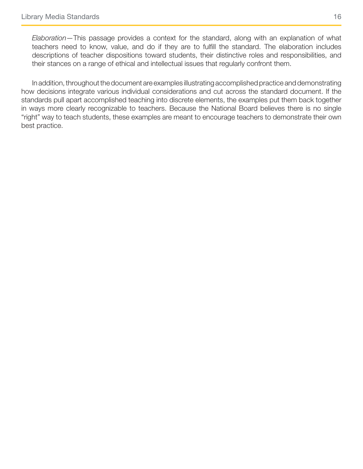*Elaboration*—This passage provides a context for the standard, along with an explanation of what teachers need to know, value, and do if they are to fulfill the standard. The elaboration includes descriptions of teacher dispositions toward students, their distinctive roles and responsibilities, and their stances on a range of ethical and intellectual issues that regularly confront them.

In addition, throughout the document are examples illustrating accomplished practice and demonstrating how decisions integrate various individual considerations and cut across the standard document. If the standards pull apart accomplished teaching into discrete elements, the examples put them back together in ways more clearly recognizable to teachers. Because the National Board believes there is no single "right" way to teach students, these examples are meant to encourage teachers to demonstrate their own best practice.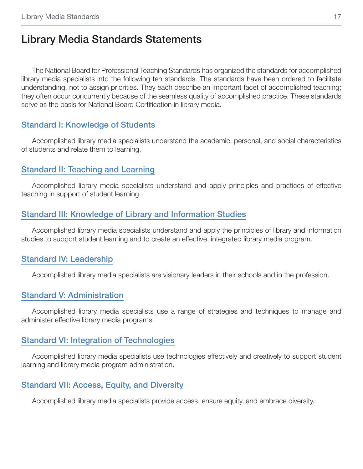### <span id="page-16-0"></span>Library Media Standards Statements

The National Board for Professional Teaching Standards has organized the standards for accomplished library media specialists into the following ten standards. The standards have been ordered to facilitate understanding, not to assign priorities. They each describe an important facet of accomplished teaching; they often occur concurrently because of the seamless quality of accomplished practice. These standards serve as the basis for National Board Certification in library media.

#### [Standard I: Knowledge of Students](#page-18-1)

Accomplished library media specialists understand the academic, personal, and social characteristics of students and relate them to learning.

#### [Standard II: Teaching and Learning](#page-22-1)

Accomplished library media specialists understand and apply principles and practices of effective teaching in support of student learning.

#### [Standard III: Knowledge of Library and Information Studies](#page-26-1)

Accomplished library media specialists understand and apply the principles of library and information studies to support student learning and to create an effective, integrated library media program.

#### [Standard IV: Leadership](#page-30-1)

Accomplished library media specialists are visionary leaders in their schools and in the profession.

#### [Standard V: Administration](#page-33-1)

Accomplished library media specialists use a range of strategies and techniques to manage and administer effective library media programs.

#### [Standard VI: Integration of Technologies](#page-37-1)

Accomplished library media specialists use technologies effectively and creatively to support student learning and library media program administration.

#### [Standard VII: Access, Equity, and Diversity](#page-41-1)

Accomplished library media specialists provide access, ensure equity, and embrace diversity.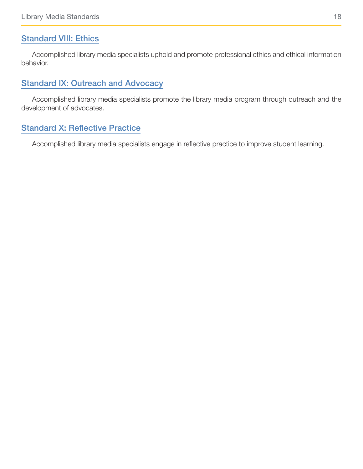#### [Standard VIII: Ethics](#page-44-1)

Accomplished library media specialists uphold and promote professional ethics and ethical information behavior.

#### [Standard IX: Outreach and Advocacy](#page-47-1)

Accomplished library media specialists promote the library media program through outreach and the development of advocates.

#### [Standard X: Reflective Practice](#page-50-1)

Accomplished library media specialists engage in reflective practice to improve student learning.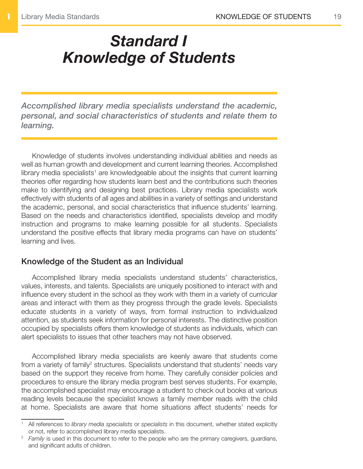# <span id="page-18-1"></span><span id="page-18-0"></span>*Standard I Knowledge of Students*

*Accomplished library media specialists understand the academic, personal, and social characteristics of students and relate them to learning.*

Knowledge of students involves understanding individual abilities and needs as well as human growth and development and current learning theories. Accomplished library media specialists<sup>1</sup> are knowledgeable about the insights that current learning theories offer regarding how students learn best and the contributions such theories make to identifying and designing best practices. Library media specialists work effectively with students of all ages and abilities in a variety of settings and understand the academic, personal, and social characteristics that influence students' learning. Based on the needs and characteristics identified, specialists develop and modify instruction and programs to make learning possible for all students. Specialists understand the positive effects that library media programs can have on students' learning and lives.

#### Knowledge of the Student as an Individual

Accomplished library media specialists understand students' characteristics, values, interests, and talents. Specialists are uniquely positioned to interact with and influence every student in the school as they work with them in a variety of curricular areas and interact with them as they progress through the grade levels. Specialists educate students in a variety of ways, from formal instruction to individualized attention, as students seek information for personal interests. The distinctive position occupied by specialists offers them knowledge of students as individuals, which can alert specialists to issues that other teachers may not have observed.

Accomplished library media specialists are keenly aware that students come from a variety of family<sup>2</sup> structures. Specialists understand that students' needs vary based on the support they receive from home. They carefully consider policies and procedures to ensure the library media program best serves students. For example, the accomplished specialist may encourage a student to check out books at various reading levels because the specialist knows a family member reads with the child at home. Specialists are aware that home situations affect students' needs for

<sup>1</sup> All references to *library media specialists* or *specialists* in this document, whether stated explicitly or not, refer to accomplished library media specialists.

<sup>&</sup>lt;sup>2</sup> *Family* is used in this document to refer to the people who are the primary caregivers, guardians, and significant adults of children.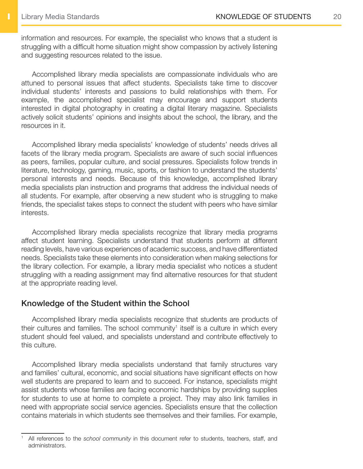information and resources. For example, the specialist who knows that a student is struggling with a difficult home situation might show compassion by actively listening and suggesting resources related to the issue.

Accomplished library media specialists are compassionate individuals who are attuned to personal issues that affect students. Specialists take time to discover individual students' interests and passions to build relationships with them. For example, the accomplished specialist may encourage and support students interested in digital photography in creating a digital literary magazine. Specialists actively solicit students' opinions and insights about the school, the library, and the resources in it.

Accomplished library media specialists' knowledge of students' needs drives all facets of the library media program. Specialists are aware of such social influences as peers, families, popular culture, and social pressures. Specialists follow trends in literature, technology, gaming, music, sports, or fashion to understand the students' personal interests and needs. Because of this knowledge, accomplished library media specialists plan instruction and programs that address the individual needs of all students. For example, after observing a new student who is struggling to make friends, the specialist takes steps to connect the student with peers who have similar interests.

Accomplished library media specialists recognize that library media programs affect student learning. Specialists understand that students perform at different reading levels, have various experiences of academic success, and have differentiated needs. Specialists take these elements into consideration when making selections for the library collection. For example, a library media specialist who notices a student struggling with a reading assignment may find alternative resources for that student at the appropriate reading level.

#### Knowledge of the Student within the School

Accomplished library media specialists recognize that students are products of their cultures and families. The school community<sup>1</sup> itself is a culture in which every student should feel valued, and specialists understand and contribute effectively to this culture.

Accomplished library media specialists understand that family structures vary and families' cultural, economic, and social situations have significant effects on how well students are prepared to learn and to succeed. For instance, specialists might assist students whose families are facing economic hardships by providing supplies for students to use at home to complete a project. They may also link families in need with appropriate social service agencies. Specialists ensure that the collection contains materials in which students see themselves and their families. For example,

<sup>1</sup> All references to the *school community* in this document refer to students, teachers, staff, and administrators.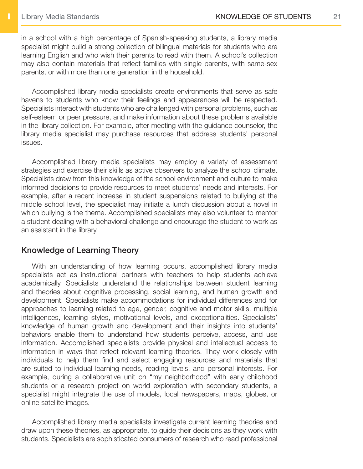in a school with a high percentage of Spanish-speaking students, a library media specialist might build a strong collection of bilingual materials for students who are learning English and who wish their parents to read with them. A school's collection may also contain materials that reflect families with single parents, with same-sex parents, or with more than one generation in the household.

Accomplished library media specialists create environments that serve as safe havens to students who know their feelings and appearances will be respected. Specialists interact with students who are challenged with personal problems, such as self-esteem or peer pressure, and make information about these problems available in the library collection. For example, after meeting with the guidance counselor, the library media specialist may purchase resources that address students' personal issues.

Accomplished library media specialists may employ a variety of assessment strategies and exercise their skills as active observers to analyze the school climate. Specialists draw from this knowledge of the school environment and culture to make informed decisions to provide resources to meet students' needs and interests. For example, after a recent increase in student suspensions related to bullying at the middle school level, the specialist may initiate a lunch discussion about a novel in which bullying is the theme. Accomplished specialists may also volunteer to mentor a student dealing with a behavioral challenge and encourage the student to work as an assistant in the library.

#### Knowledge of Learning Theory

With an understanding of how learning occurs, accomplished library media specialists act as instructional partners with teachers to help students achieve academically. Specialists understand the relationships between student learning and theories about cognitive processing, social learning, and human growth and development. Specialists make accommodations for individual differences and for approaches to learning related to age, gender, cognitive and motor skills, multiple intelligences, learning styles, motivational levels, and exceptionalities. Specialists' knowledge of human growth and development and their insights into students' behaviors enable them to understand how students perceive, access, and use information. Accomplished specialists provide physical and intellectual access to information in ways that reflect relevant learning theories. They work closely with individuals to help them find and select engaging resources and materials that are suited to individual learning needs, reading levels, and personal interests. For example, during a collaborative unit on "my neighborhood" with early childhood students or a research project on world exploration with secondary students, a specialist might integrate the use of models, local newspapers, maps, globes, or online satellite images.

Accomplished library media specialists investigate current learning theories and draw upon these theories, as appropriate, to guide their decisions as they work with students. Specialists are sophisticated consumers of research who read professional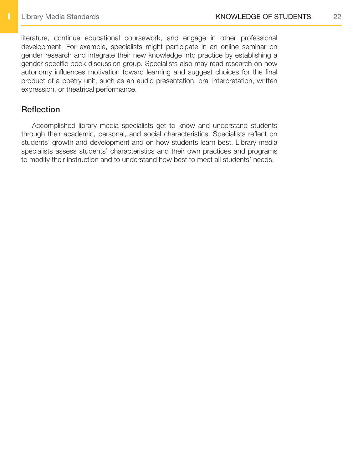literature, continue educational coursework, and engage in other professional development. For example, specialists might participate in an online seminar on gender research and integrate their new knowledge into practice by establishing a gender-specific book discussion group. Specialists also may read research on how autonomy influences motivation toward learning and suggest choices for the final product of a poetry unit, such as an audio presentation, oral interpretation, written expression, or theatrical performance.

#### **Reflection**

Accomplished library media specialists get to know and understand students through their academic, personal, and social characteristics. Specialists reflect on students' growth and development and on how students learn best. Library media specialists assess students' characteristics and their own practices and programs to modify their instruction and to understand how best to meet all students' needs.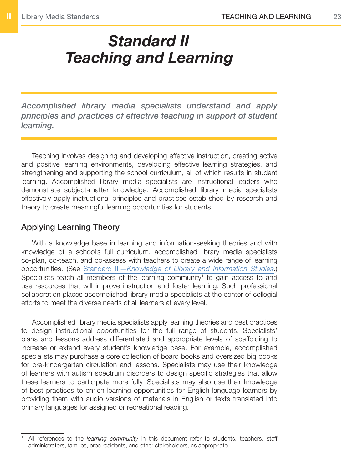# <span id="page-22-1"></span><span id="page-22-0"></span>*Standard II Teaching and Learning*

*Accomplished library media specialists understand and apply principles and practices of effective teaching in support of student learning.*

Teaching involves designing and developing effective instruction, creating active and positive learning environments, developing effective learning strategies, and strengthening and supporting the school curriculum, all of which results in student learning. Accomplished library media specialists are instructional leaders who demonstrate subject-matter knowledge. Accomplished library media specialists effectively apply instructional principles and practices established by research and theory to create meaningful learning opportunities for students.

#### Applying Learning Theory

With a knowledge base in learning and information-seeking theories and with knowledge of a school's full curriculum, accomplished library media specialists co-plan, co-teach, and co-assess with teachers to create a wide range of learning opportunities. (See Standard III—*[Knowledge of Library and Information Studies](#page-26-1)*.) Specialists teach all members of the learning community<sup>1</sup> to gain access to and use resources that will improve instruction and foster learning. Such professional collaboration places accomplished library media specialists at the center of collegial efforts to meet the diverse needs of all learners at every level.

Accomplished library media specialists apply learning theories and best practices to design instructional opportunities for the full range of students. Specialists' plans and lessons address differentiated and appropriate levels of scaffolding to increase or extend every student's knowledge base. For example, accomplished specialists may purchase a core collection of board books and oversized big books for pre-kindergarten circulation and lessons. Specialists may use their knowledge of learners with autism spectrum disorders to design specific strategies that allow these learners to participate more fully. Specialists may also use their knowledge of best practices to enrich learning opportunities for English language learners by providing them with audio versions of materials in English or texts translated into primary languages for assigned or recreational reading.

<sup>1</sup> All references to the *learning community* in this document refer to students, teachers, staff administrators, families, area residents, and other stakeholders, as appropriate.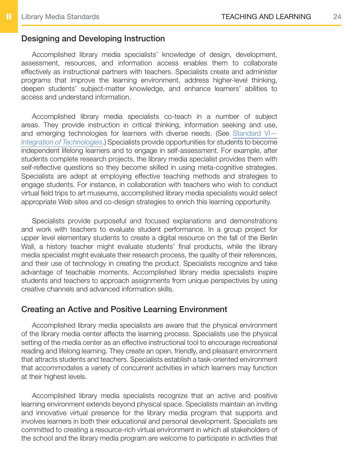#### Designing and Developing Instruction

Accomplished library media specialists' knowledge of design, development, assessment, resources, and information access enables them to collaborate effectively as instructional partners with teachers. Specialists create and administer programs that improve the learning environment, address higher-level thinking, deepen students' subject-matter knowledge, and enhance learners' abilities to access and understand information.

Accomplished library media specialists co-teach in a number of subject areas. They provide instruction in critical thinking, information seeking and use, and emerging technologies for learners with diverse needs. (See Standard VI-*[Integration of Technologies](#page-37-1)*.) Specialists provide opportunities for students to become independent lifelong learners and to engage in self-assessment. For example, after students complete research projects, the library media specialist provides them with self-reflective questions so they become skilled in using meta-cognitive strategies. Specialists are adept at employing effective teaching methods and strategies to engage students. For instance, in collaboration with teachers who wish to conduct virtual field trips to art museums, accomplished library media specialists would select appropriate Web sites and co-design strategies to enrich this learning opportunity.

Specialists provide purposeful and focused explanations and demonstrations and work with teachers to evaluate student performance. In a group project for upper level elementary students to create a digital resource on the fall of the Berlin Wall, a history teacher might evaluate students' final products, while the library media specialist might evaluate their research process, the quality of their references, and their use of technology in creating the product. Specialists recognize and take advantage of teachable moments. Accomplished library media specialists inspire students and teachers to approach assignments from unique perspectives by using creative channels and advanced information skills.

#### Creating an Active and Positive Learning Environment

Accomplished library media specialists are aware that the physical environment of the library media center affects the learning process. Specialists use the physical setting of the media center as an effective instructional tool to encourage recreational reading and lifelong learning. They create an open, friendly, and pleasant environment that attracts students and teachers. Specialists establish a task-oriented environment that accommodates a variety of concurrent activities in which learners may function at their highest levels.

Accomplished library media specialists recognize that an active and positive learning environment extends beyond physical space. Specialists maintain an inviting and innovative virtual presence for the library media program that supports and involves learners in both their educational and personal development. Specialists are committed to creating a resource-rich virtual environment in which all stakeholders of the school and the library media program are welcome to participate in activities that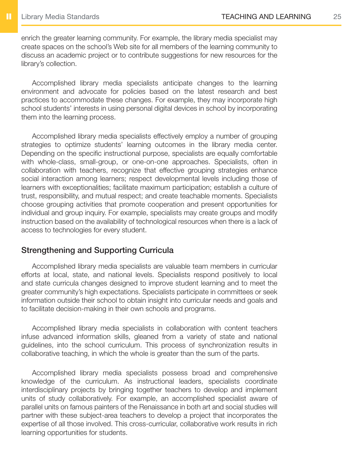enrich the greater learning community. For example, the library media specialist may create spaces on the school's Web site for all members of the learning community to discuss an academic project or to contribute suggestions for new resources for the library's collection.

Accomplished library media specialists anticipate changes to the learning environment and advocate for policies based on the latest research and best practices to accommodate these changes. For example, they may incorporate high school students' interests in using personal digital devices in school by incorporating them into the learning process.

Accomplished library media specialists effectively employ a number of grouping strategies to optimize students' learning outcomes in the library media center. Depending on the specific instructional purpose, specialists are equally comfortable with whole-class, small-group, or one-on-one approaches. Specialists, often in collaboration with teachers, recognize that effective grouping strategies enhance social interaction among learners; respect developmental levels including those of learners with exceptionalities; facilitate maximum participation; establish a culture of trust, responsibility, and mutual respect; and create teachable moments. Specialists choose grouping activities that promote cooperation and present opportunities for individual and group inquiry. For example, specialists may create groups and modify instruction based on the availability of technological resources when there is a lack of access to technologies for every student.

#### Strengthening and Supporting Curricula

Accomplished library media specialists are valuable team members in curricular efforts at local, state, and national levels. Specialists respond positively to local and state curricula changes designed to improve student learning and to meet the greater community's high expectations. Specialists participate in committees or seek information outside their school to obtain insight into curricular needs and goals and to facilitate decision-making in their own schools and programs.

Accomplished library media specialists in collaboration with content teachers infuse advanced information skills, gleaned from a variety of state and national guidelines, into the school curriculum. This process of synchronization results in collaborative teaching, in which the whole is greater than the sum of the parts.

Accomplished library media specialists possess broad and comprehensive knowledge of the curriculum. As instructional leaders, specialists coordinate interdisciplinary projects by bringing together teachers to develop and implement units of study collaboratively. For example, an accomplished specialist aware of parallel units on famous painters of the Renaissance in both art and social studies will partner with these subject-area teachers to develop a project that incorporates the expertise of all those involved. This cross-curricular, collaborative work results in rich learning opportunities for students.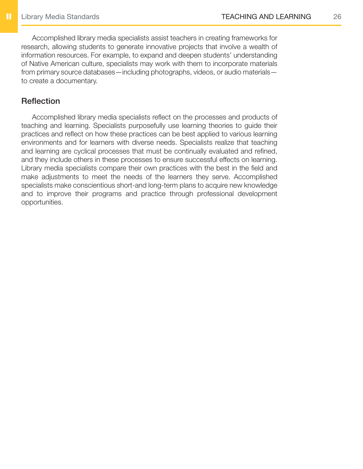Accomplished library media specialists assist teachers in creating frameworks for research, allowing students to generate innovative projects that involve a wealth of information resources. For example, to expand and deepen students' understanding of Native American culture, specialists may work with them to incorporate materials from primary source databases—including photographs, videos, or audio materials to create a documentary.

#### **Reflection**

Accomplished library media specialists reflect on the processes and products of teaching and learning. Specialists purposefully use learning theories to guide their practices and reflect on how these practices can be best applied to various learning environments and for learners with diverse needs. Specialists realize that teaching and learning are cyclical processes that must be continually evaluated and refined, and they include others in these processes to ensure successful effects on learning. Library media specialists compare their own practices with the best in the field and make adjustments to meet the needs of the learners they serve. Accomplished specialists make conscientious short-and long-term plans to acquire new knowledge and to improve their programs and practice through professional development opportunities.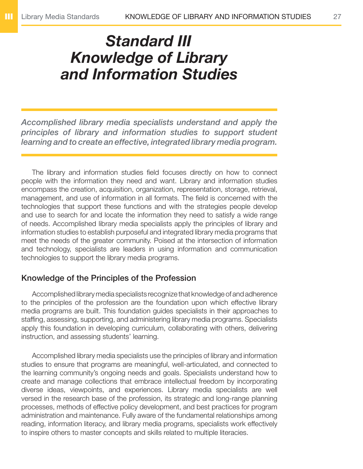### <span id="page-26-1"></span><span id="page-26-0"></span>*Standard III Knowledge of Library and Information Studies*

*Accomplished library media specialists understand and apply the principles of library and information studies to support student learning and to create an effective, integrated library media program.*

The library and information studies field focuses directly on how to connect people with the information they need and want. Library and information studies encompass the creation, acquisition, organization, representation, storage, retrieval, management, and use of information in all formats. The field is concerned with the technologies that support these functions and with the strategies people develop and use to search for and locate the information they need to satisfy a wide range of needs. Accomplished library media specialists apply the principles of library and information studies to establish purposeful and integrated library media programs that meet the needs of the greater community. Poised at the intersection of information and technology, specialists are leaders in using information and communication technologies to support the library media programs.

#### Knowledge of the Principles of the Profession

Accomplished library media specialists recognize that knowledge of and adherence to the principles of the profession are the foundation upon which effective library media programs are built. This foundation guides specialists in their approaches to staffing, assessing, supporting, and administering library media programs. Specialists apply this foundation in developing curriculum, collaborating with others, delivering instruction, and assessing students' learning.

Accomplished library media specialists use the principles of library and information studies to ensure that programs are meaningful, well-articulated, and connected to the learning community's ongoing needs and goals. Specialists understand how to create and manage collections that embrace intellectual freedom by incorporating diverse ideas, viewpoints, and experiences. Library media specialists are well versed in the research base of the profession, its strategic and long-range planning processes, methods of effective policy development, and best practices for program administration and maintenance. Fully aware of the fundamental relationships among reading, information literacy, and library media programs, specialists work effectively to inspire others to master concepts and skills related to multiple literacies.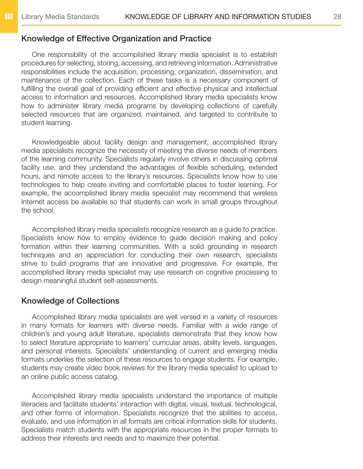#### Knowledge of Effective Organization and Practice

One responsibility of the accomplished library media specialist is to establish procedures for selecting, storing, accessing, and retrieving information. Administrative responsibilities include the acquisition, processing, organization, dissemination, and maintenance of the collection. Each of these tasks is a necessary component of fulfilling the overall goal of providing efficient and effective physical and intellectual access to information and resources. Accomplished library media specialists know how to administer library media programs by developing collections of carefully selected resources that are organized, maintained, and targeted to contribute to student learning.

Knowledgeable about facility design and management, accomplished library media specialists recognize the necessity of meeting the diverse needs of members of the learning community. Specialists regularly involve others in discussing optimal facility use, and they understand the advantages of flexible scheduling, extended hours, and remote access to the library's resources. Specialists know how to use technologies to help create inviting and comfortable places to foster learning. For example, the accomplished library media specialist may recommend that wireless Internet access be available so that students can work in small groups throughout the school.

Accomplished library media specialists recognize research as a guide to practice. Specialists know how to employ evidence to guide decision making and policy formation within their learning communities. With a solid grounding in research techniques and an appreciation for conducting their own research, specialists strive to build programs that are innovative and progressive. For example, the accomplished library media specialist may use research on cognitive processing to design meaningful student self-assessments.

#### Knowledge of Collections

Accomplished library media specialists are well versed in a variety of resources in many formats for learners with diverse needs. Familiar with a wide range of children's and young adult literature, specialists demonstrate that they know how to select literature appropriate to learners' curricular areas, ability levels, languages, and personal interests. Specialists' understanding of current and emerging media formats underlies the selection of these resources to engage students. For example, students may create video book reviews for the library media specialist to upload to an online public access catalog.

Accomplished library media specialists understand the importance of multiple literacies and facilitate students' interaction with digital, visual, textual, technological, and other forms of information. Specialists recognize that the abilities to access, evaluate, and use information in all formats are critical information skills for students. Specialists match students with the appropriate resources in the proper formats to address their interests and needs and to maximize their potential.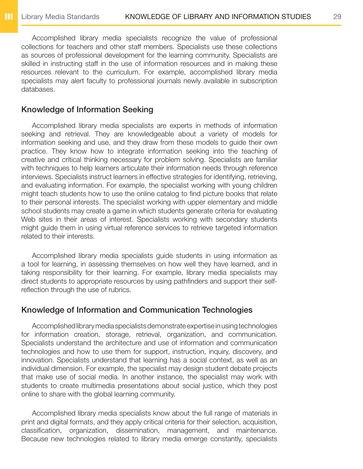Accomplished library media specialists recognize the value of professional collections for teachers and other staff members. Specialists use these collections as sources of professional development for the learning community. Specialists are skilled in instructing staff in the use of information resources and in making these resources relevant to the curriculum. For example, accomplished library media specialists may alert faculty to professional journals newly available in subscription databases.

#### Knowledge of Information Seeking

Accomplished library media specialists are experts in methods of information seeking and retrieval. They are knowledgeable about a variety of models for information seeking and use, and they draw from these models to guide their own practice. They know how to integrate information seeking into the teaching of creative and critical thinking necessary for problem solving. Specialists are familiar with techniques to help learners articulate their information needs through reference interviews. Specialists instruct learners in effective strategies for identifying, retrieving, and evaluating information. For example, the specialist working with young children might teach students how to use the online catalog to find picture books that relate to their personal interests. The specialist working with upper elementary and middle school students may create a game in which students generate criteria for evaluating Web sites in their areas of interest. Specialists working with secondary students might guide them in using virtual reference services to retrieve targeted information related to their interests.

Accomplished library media specialists guide students in using information as a tool for learning, in assessing themselves on how well they have learned, and in taking responsibility for their learning. For example, library media specialists may direct students to appropriate resources by using pathfinders and support their selfreflection through the use of rubrics.

#### Knowledge of Information and Communication Technologies

Accomplished library media specialists demonstrate expertise in using technologies for information creation, storage, retrieval, organization, and communication. Specialists understand the architecture and use of information and communication technologies and how to use them for support, instruction, inquiry, discovery, and innovation. Specialists understand that learning has a social context, as well as an individual dimension. For example, the specialist may design student debate projects that make use of social media. In another instance, the specialist may work with students to create multimedia presentations about social justice, which they post online to share with the global learning community.

Accomplished library media specialists know about the full range of materials in print and digital formats, and they apply critical criteria for their selection, acquisition, classification, organization, dissemination, management, and maintenance. Because new technologies related to library media emerge constantly, specialists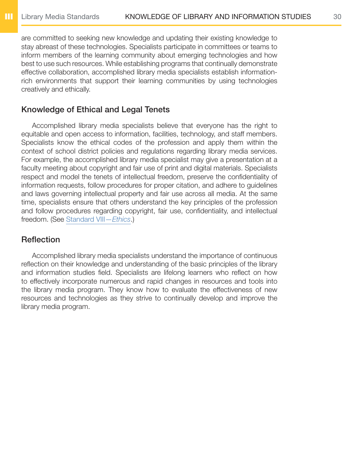are committed to seeking new knowledge and updating their existing knowledge to stay abreast of these technologies. Specialists participate in committees or teams to inform members of the learning community about emerging technologies and how best to use such resources. While establishing programs that continually demonstrate effective collaboration, accomplished library media specialists establish informationrich environments that support their learning communities by using technologies creatively and ethically.

#### Knowledge of Ethical and Legal Tenets

Accomplished library media specialists believe that everyone has the right to equitable and open access to information, facilities, technology, and staff members. Specialists know the ethical codes of the profession and apply them within the context of school district policies and regulations regarding library media services. For example, the accomplished library media specialist may give a presentation at a faculty meeting about copyright and fair use of print and digital materials. Specialists respect and model the tenets of intellectual freedom, preserve the confidentiality of information requests, follow procedures for proper citation, and adhere to guidelines and laws governing intellectual property and fair use across all media. At the same time, specialists ensure that others understand the key principles of the profession and follow procedures regarding copyright, fair use, confidentiality, and intellectual freedom. (See [Standard VIII—](#page-44-1)*Ethics*.)

#### **Reflection**

Accomplished library media specialists understand the importance of continuous reflection on their knowledge and understanding of the basic principles of the library and information studies field. Specialists are lifelong learners who reflect on how to effectively incorporate numerous and rapid changes in resources and tools into the library media program. They know how to evaluate the effectiveness of new resources and technologies as they strive to continually develop and improve the library media program.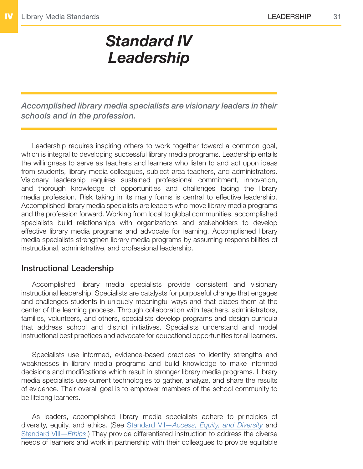## <span id="page-30-1"></span>*Standard IV Leadership*

<span id="page-30-0"></span>*Accomplished library media specialists are visionary leaders in their schools and in the profession.*

Leadership requires inspiring others to work together toward a common goal, which is integral to developing successful library media programs. Leadership entails the willingness to serve as teachers and learners who listen to and act upon ideas from students, library media colleagues, subject-area teachers, and administrators. Visionary leadership requires sustained professional commitment, innovation, and thorough knowledge of opportunities and challenges facing the library media profession. Risk taking in its many forms is central to effective leadership. Accomplished library media specialists are leaders who move library media programs and the profession forward. Working from local to global communities, accomplished specialists build relationships with organizations and stakeholders to develop effective library media programs and advocate for learning. Accomplished library media specialists strengthen library media programs by assuming responsibilities of instructional, administrative, and professional leadership.

#### Instructional Leadership

Accomplished library media specialists provide consistent and visionary instructional leadership. Specialists are catalysts for purposeful change that engages and challenges students in uniquely meaningful ways and that places them at the center of the learning process. Through collaboration with teachers, administrators, families, volunteers, and others, specialists develop programs and design curricula that address school and district initiatives. Specialists understand and model instructional best practices and advocate for educational opportunities for all learners.

Specialists use informed, evidence-based practices to identify strengths and weaknesses in library media programs and build knowledge to make informed decisions and modifications which result in stronger library media programs. Library media specialists use current technologies to gather, analyze, and share the results of evidence. Their overall goal is to empower members of the school community to be lifelong learners.

As leaders, accomplished library media specialists adhere to principles of diversity, equity, and ethics. (See Standard VII—*[Access, Equity, and Diversity](#page-41-1)* and [Standard VIII—](#page-44-1)*Ethics*.) They provide differentiated instruction to address the diverse needs of learners and work in partnership with their colleagues to provide equitable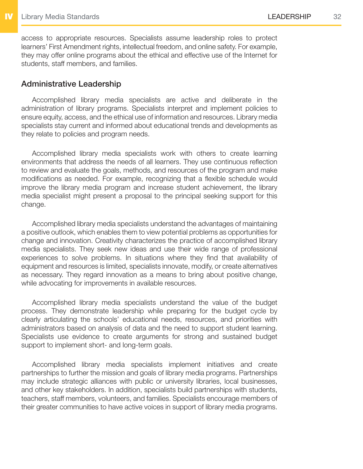access to appropriate resources. Specialists assume leadership roles to protect learners' First Amendment rights, intellectual freedom, and online safety. For example, they may offer online programs about the ethical and effective use of the Internet for students, staff members, and families.

#### Administrative Leadership

Accomplished library media specialists are active and deliberate in the administration of library programs. Specialists interpret and implement policies to ensure equity, access, and the ethical use of information and resources. Library media specialists stay current and informed about educational trends and developments as they relate to policies and program needs.

Accomplished library media specialists work with others to create learning environments that address the needs of all learners. They use continuous reflection to review and evaluate the goals, methods, and resources of the program and make modifications as needed. For example, recognizing that a flexible schedule would improve the library media program and increase student achievement, the library media specialist might present a proposal to the principal seeking support for this change.

Accomplished library media specialists understand the advantages of maintaining a positive outlook, which enables them to view potential problems as opportunities for change and innovation. Creativity characterizes the practice of accomplished library media specialists. They seek new ideas and use their wide range of professional experiences to solve problems. In situations where they find that availability of equipment and resources is limited, specialists innovate, modify, or create alternatives as necessary. They regard innovation as a means to bring about positive change, while advocating for improvements in available resources.

Accomplished library media specialists understand the value of the budget process. They demonstrate leadership while preparing for the budget cycle by clearly articulating the schools' educational needs, resources, and priorities with administrators based on analysis of data and the need to support student learning. Specialists use evidence to create arguments for strong and sustained budget support to implement short- and long-term goals.

Accomplished library media specialists implement initiatives and create partnerships to further the mission and goals of library media programs. Partnerships may include strategic alliances with public or university libraries, local businesses, and other key stakeholders. In addition, specialists build partnerships with students, teachers, staff members, volunteers, and families. Specialists encourage members of their greater communities to have active voices in support of library media programs.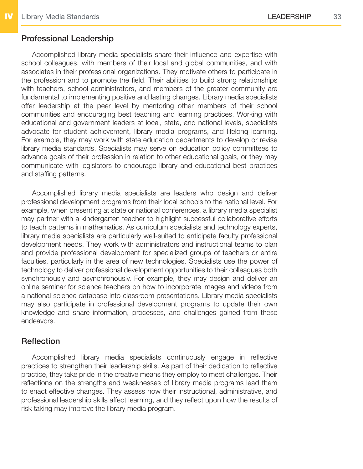#### Professional Leadership

Accomplished library media specialists share their influence and expertise with school colleagues, with members of their local and global communities, and with associates in their professional organizations. They motivate others to participate in the profession and to promote the field. Their abilities to build strong relationships with teachers, school administrators, and members of the greater community are fundamental to implementing positive and lasting changes. Library media specialists offer leadership at the peer level by mentoring other members of their school communities and encouraging best teaching and learning practices. Working with educational and government leaders at local, state, and national levels, specialists advocate for student achievement, library media programs, and lifelong learning. For example, they may work with state education departments to develop or revise library media standards. Specialists may serve on education policy committees to advance goals of their profession in relation to other educational goals, or they may communicate with legislators to encourage library and educational best practices and staffing patterns.

Accomplished library media specialists are leaders who design and deliver professional development programs from their local schools to the national level. For example, when presenting at state or national conferences, a library media specialist may partner with a kindergarten teacher to highlight successful collaborative efforts to teach patterns in mathematics. As curriculum specialists and technology experts, library media specialists are particularly well-suited to anticipate faculty professional development needs. They work with administrators and instructional teams to plan and provide professional development for specialized groups of teachers or entire faculties, particularly in the area of new technologies. Specialists use the power of technology to deliver professional development opportunities to their colleagues both synchronously and asynchronously. For example, they may design and deliver an online seminar for science teachers on how to incorporate images and videos from a national science database into classroom presentations. Library media specialists may also participate in professional development programs to update their own knowledge and share information, processes, and challenges gained from these endeavors.

#### **Reflection**

Accomplished library media specialists continuously engage in reflective practices to strengthen their leadership skills. As part of their dedication to reflective practice, they take pride in the creative means they employ to meet challenges. Their reflections on the strengths and weaknesses of library media programs lead them to enact effective changes. They assess how their instructional, administrative, and professional leadership skills affect learning, and they reflect upon how the results of risk taking may improve the library media program.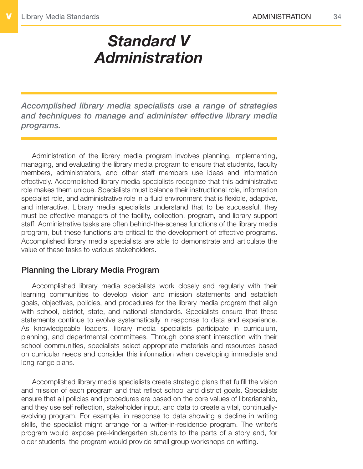# <span id="page-33-1"></span><span id="page-33-0"></span>*Standard V Administration*

*Accomplished library media specialists use a range of strategies and techniques to manage and administer effective library media programs.*

Administration of the library media program involves planning, implementing, managing, and evaluating the library media program to ensure that students, faculty members, administrators, and other staff members use ideas and information effectively. Accomplished library media specialists recognize that this administrative role makes them unique. Specialists must balance their instructional role, information specialist role, and administrative role in a fluid environment that is flexible, adaptive, and interactive. Library media specialists understand that to be successful, they must be effective managers of the facility, collection, program, and library support staff. Administrative tasks are often behind-the-scenes functions of the library media program, but these functions are critical to the development of effective programs. Accomplished library media specialists are able to demonstrate and articulate the value of these tasks to various stakeholders.

#### Planning the Library Media Program

Accomplished library media specialists work closely and regularly with their learning communities to develop vision and mission statements and establish goals, objectives, policies, and procedures for the library media program that align with school, district, state, and national standards. Specialists ensure that these statements continue to evolve systematically in response to data and experience. As knowledgeable leaders, library media specialists participate in curriculum, planning, and departmental committees. Through consistent interaction with their school communities, specialists select appropriate materials and resources based on curricular needs and consider this information when developing immediate and long-range plans.

Accomplished library media specialists create strategic plans that fulfill the vision and mission of each program and that reflect school and district goals. Specialists ensure that all policies and procedures are based on the core values of librarianship, and they use self reflection, stakeholder input, and data to create a vital, continuallyevolving program. For example, in response to data showing a decline in writing skills, the specialist might arrange for a writer-in-residence program. The writer's program would expose pre-kindergarten students to the parts of a story and, for older students, the program would provide small group workshops on writing.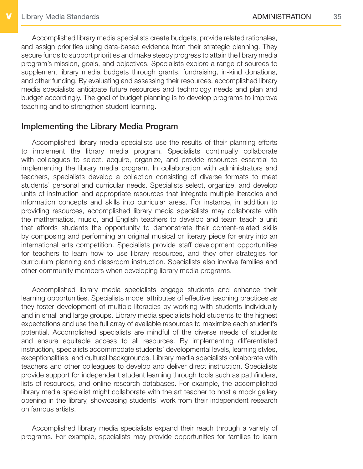Accomplished library media specialists create budgets, provide related rationales, and assign priorities using data-based evidence from their strategic planning. They secure funds to support priorities and make steady progress to attain the library media program's mission, goals, and objectives. Specialists explore a range of sources to supplement library media budgets through grants, fundraising, in-kind donations, and other funding. By evaluating and assessing their resources, accomplished library media specialists anticipate future resources and technology needs and plan and budget accordingly. The goal of budget planning is to develop programs to improve teaching and to strengthen student learning.

#### Implementing the Library Media Program

Accomplished library media specialists use the results of their planning efforts to implement the library media program. Specialists continually collaborate with colleagues to select, acquire, organize, and provide resources essential to implementing the library media program. In collaboration with administrators and teachers, specialists develop a collection consisting of diverse formats to meet students' personal and curricular needs. Specialists select, organize, and develop units of instruction and appropriate resources that integrate multiple literacies and information concepts and skills into curricular areas. For instance, in addition to providing resources, accomplished library media specialists may collaborate with the mathematics, music, and English teachers to develop and team teach a unit that affords students the opportunity to demonstrate their content-related skills by composing and performing an original musical or literary piece for entry into an international arts competition. Specialists provide staff development opportunities for teachers to learn how to use library resources, and they offer strategies for curriculum planning and classroom instruction. Specialists also involve families and other community members when developing library media programs.

Accomplished library media specialists engage students and enhance their learning opportunities. Specialists model attributes of effective teaching practices as they foster development of multiple literacies by working with students individually and in small and large groups. Library media specialists hold students to the highest expectations and use the full array of available resources to maximize each student's potential. Accomplished specialists are mindful of the diverse needs of students and ensure equitable access to all resources. By implementing differentiated instruction, specialists accommodate students' developmental levels, learning styles, exceptionalities, and cultural backgrounds. Library media specialists collaborate with teachers and other colleagues to develop and deliver direct instruction. Specialists provide support for independent student learning through tools such as pathfinders, lists of resources, and online research databases. For example, the accomplished library media specialist might collaborate with the art teacher to host a mock gallery opening in the library, showcasing students' work from their independent research on famous artists.

Accomplished library media specialists expand their reach through a variety of programs. For example, specialists may provide opportunities for families to learn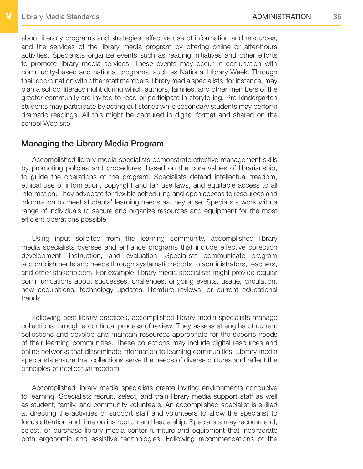about literacy programs and strategies, effective use of information and resources, and the services of the library media program by offering online or after-hours activities. Specialists organize events such as reading initiatives and other efforts to promote library media services. These events may occur in conjunction with community-based and national programs, such as National Library Week. Through their coordination with other staff members, library media specialists, for instance, may plan a school literacy night during which authors, families, and other members of the greater community are invited to read or participate in storytelling. Pre-kindergarten students may participate by acting out stories while secondary students may perform dramatic readings. All this might be captured in digital format and shared on the school Web site.

#### Managing the Library Media Program

Accomplished library media specialists demonstrate effective management skills by promoting policies and procedures, based on the core values of librarianship, to guide the operations of the program. Specialists defend intellectual freedom, ethical use of information, copyright and fair use laws, and equitable access to all information. They advocate for flexible scheduling and open access to resources and information to meet students' learning needs as they arise. Specialists work with a range of individuals to secure and organize resources and equipment for the most efficient operations possible.

Using input solicited from the learning community, accomplished library media specialists oversee and enhance programs that include effective collection development, instruction, and evaluation. Specialists communicate program accomplishments and needs through systematic reports to administrators, teachers, and other stakeholders. For example, library media specialists might provide regular communications about successes, challenges, ongoing events, usage, circulation, new acquisitions, technology updates, literature reviews, or current educational trends.

Following best library practices, accomplished library media specialists manage collections through a continual process of review. They assess strengths of current collections and develop and maintain resources appropriate for the specific needs of their learning communities. These collections may include digital resources and online networks that disseminate information to learning communities. Library media specialists ensure that collections serve the needs of diverse cultures and reflect the principles of intellectual freedom.

Accomplished library media specialists create inviting environments conducive to learning. Specialists recruit, select, and train library media support staff as well as student, family, and community volunteers. An accomplished specialist is skilled at directing the activities of support staff and volunteers to allow the specialist to focus attention and time on instruction and leadership. Specialists may recommend, select, or purchase library media center furniture and equipment that incorporate both ergonomic and assistive technologies. Following recommendations of the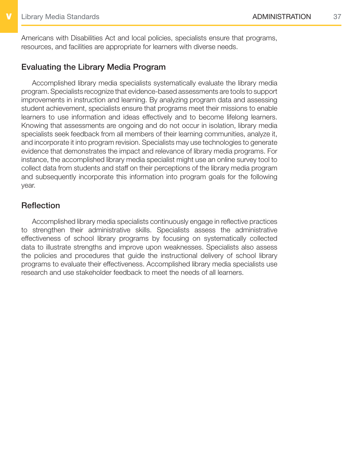Americans with Disabilities Act and local policies, specialists ensure that programs, resources, and facilities are appropriate for learners with diverse needs.

#### Evaluating the Library Media Program

Accomplished library media specialists systematically evaluate the library media program. Specialists recognize that evidence-based assessments are tools to support improvements in instruction and learning. By analyzing program data and assessing student achievement, specialists ensure that programs meet their missions to enable learners to use information and ideas effectively and to become lifelong learners. Knowing that assessments are ongoing and do not occur in isolation, library media specialists seek feedback from all members of their learning communities, analyze it, and incorporate it into program revision. Specialists may use technologies to generate evidence that demonstrates the impact and relevance of library media programs. For instance, the accomplished library media specialist might use an online survey tool to collect data from students and staff on their perceptions of the library media program and subsequently incorporate this information into program goals for the following year.

#### **Reflection**

Accomplished library media specialists continuously engage in reflective practices to strengthen their administrative skills. Specialists assess the administrative effectiveness of school library programs by focusing on systematically collected data to illustrate strengths and improve upon weaknesses. Specialists also assess the policies and procedures that guide the instructional delivery of school library programs to evaluate their effectiveness. Accomplished library media specialists use research and use stakeholder feedback to meet the needs of all learners.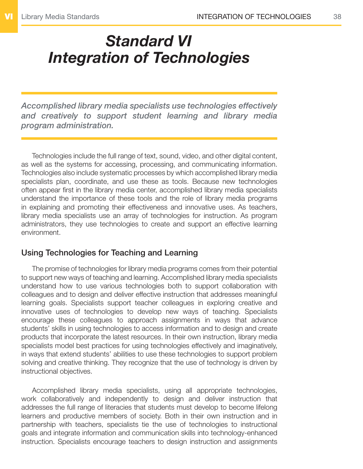# <span id="page-37-1"></span><span id="page-37-0"></span>*Standard VI Integration of Technologies*

*Accomplished library media specialists use technologies effectively and creatively to support student learning and library media program administration.*

Technologies include the full range of text, sound, video, and other digital content, as well as the systems for accessing, processing, and communicating information. Technologies also include systematic processes by which accomplished library media specialists plan, coordinate, and use these as tools. Because new technologies often appear first in the library media center, accomplished library media specialists understand the importance of these tools and the role of library media programs in explaining and promoting their effectiveness and innovative uses. As teachers, library media specialists use an array of technologies for instruction. As program administrators, they use technologies to create and support an effective learning environment.

#### Using Technologies for Teaching and Learning

The promise of technologies for library media programs comes from their potential to support new ways of teaching and learning. Accomplished library media specialists understand how to use various technologies both to support collaboration with colleagues and to design and deliver effective instruction that addresses meaningful learning goals. Specialists support teacher colleagues in exploring creative and innovative uses of technologies to develop new ways of teaching. Specialists encourage these colleagues to approach assignments in ways that advance students' skills in using technologies to access information and to design and create products that incorporate the latest resources. In their own instruction, library media specialists model best practices for using technologies effectively and imaginatively, in ways that extend students' abilities to use these technologies to support problem solving and creative thinking. They recognize that the use of technology is driven by instructional objectives.

Accomplished library media specialists, using all appropriate technologies, work collaboratively and independently to design and deliver instruction that addresses the full range of literacies that students must develop to become lifelong learners and productive members of society. Both in their own instruction and in partnership with teachers, specialists tie the use of technologies to instructional goals and integrate information and communication skills into technology-enhanced instruction. Specialists encourage teachers to design instruction and assignments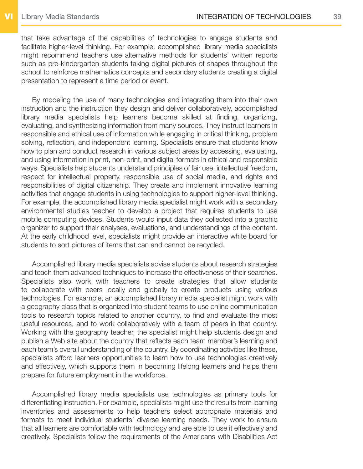that take advantage of the capabilities of technologies to engage students and facilitate higher-level thinking. For example, accomplished library media specialists might recommend teachers use alternative methods for students' written reports such as pre-kindergarten students taking digital pictures of shapes throughout the school to reinforce mathematics concepts and secondary students creating a digital presentation to represent a time period or event.

By modeling the use of many technologies and integrating them into their own instruction and the instruction they design and deliver collaboratively, accomplished library media specialists help learners become skilled at finding, organizing, evaluating, and synthesizing information from many sources. They instruct learners in responsible and ethical use of information while engaging in critical thinking, problem solving, reflection, and independent learning. Specialists ensure that students know how to plan and conduct research in various subject areas by accessing, evaluating, and using information in print, non-print, and digital formats in ethical and responsible ways. Specialists help students understand principles of fair use, intellectual freedom, respect for intellectual property, responsible use of social media, and rights and responsibilities of digital citizenship. They create and implement innovative learning activities that engage students in using technologies to support higher-level thinking. For example, the accomplished library media specialist might work with a secondary environmental studies teacher to develop a project that requires students to use mobile computing devices. Students would input data they collected into a graphic organizer to support their analyses, evaluations, and understandings of the content. At the early childhood level, specialists might provide an interactive white board for students to sort pictures of items that can and cannot be recycled.

Accomplished library media specialists advise students about research strategies and teach them advanced techniques to increase the effectiveness of their searches. Specialists also work with teachers to create strategies that allow students to collaborate with peers locally and globally to create products using various technologies. For example, an accomplished library media specialist might work with a geography class that is organized into student teams to use online communication tools to research topics related to another country, to find and evaluate the most useful resources, and to work collaboratively with a team of peers in that country. Working with the geography teacher, the specialist might help students design and publish a Web site about the country that reflects each team member's learning and each team's overall understanding of the country. By coordinating activities like these, specialists afford learners opportunities to learn how to use technologies creatively and effectively, which supports them in becoming lifelong learners and helps them prepare for future employment in the workforce.

Accomplished library media specialists use technologies as primary tools for differentiating instruction. For example, specialists might use the results from learning inventories and assessments to help teachers select appropriate materials and formats to meet individual students' diverse learning needs. They work to ensure that all learners are comfortable with technology and are able to use it effectively and creatively. Specialists follow the requirements of the Americans with Disabilities Act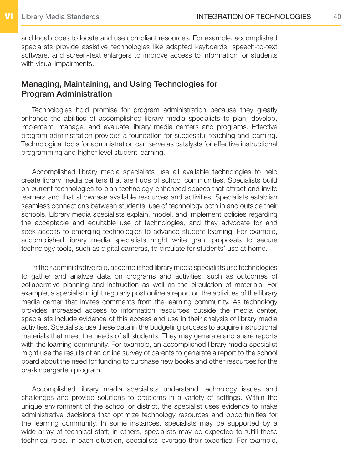and local codes to locate and use compliant resources. For example, accomplished specialists provide assistive technologies like adapted keyboards, speech-to-text software, and screen-text enlargers to improve access to information for students with visual impairments.

#### Managing, Maintaining, and Using Technologies for Program Administration

Technologies hold promise for program administration because they greatly enhance the abilities of accomplished library media specialists to plan, develop, implement, manage, and evaluate library media centers and programs. Effective program administration provides a foundation for successful teaching and learning. Technological tools for administration can serve as catalysts for effective instructional programming and higher-level student learning.

Accomplished library media specialists use all available technologies to help create library media centers that are hubs of school communities. Specialists build on current technologies to plan technology-enhanced spaces that attract and invite learners and that showcase available resources and activities. Specialists establish seamless connections between students' use of technology both in and outside their schools. Library media specialists explain, model, and implement policies regarding the acceptable and equitable use of technologies, and they advocate for and seek access to emerging technologies to advance student learning. For example, accomplished library media specialists might write grant proposals to secure technology tools, such as digital cameras, to circulate for students' use at home.

In their administrative role, accomplished library media specialists use technologies to gather and analyze data on programs and activities, such as outcomes of collaborative planning and instruction as well as the circulation of materials. For example, a specialist might regularly post online a report on the activities of the library media center that invites comments from the learning community. As technology provides increased access to information resources outside the media center, specialists include evidence of this access and use in their analysis of library media activities. Specialists use these data in the budgeting process to acquire instructional materials that meet the needs of all students. They may generate and share reports with the learning community. For example, an accomplished library media specialist might use the results of an online survey of parents to generate a report to the school board about the need for funding to purchase new books and other resources for the pre-kindergarten program.

Accomplished library media specialists understand technology issues and challenges and provide solutions to problems in a variety of settings. Within the unique environment of the school or district, the specialist uses evidence to make administrative decisions that optimize technology resources and opportunities for the learning community. In some instances, specialists may be supported by a wide array of technical staff; in others, specialists may be expected to fulfill these technical roles. In each situation, specialists leverage their expertise. For example,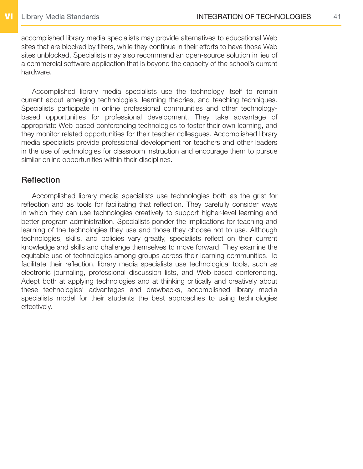accomplished library media specialists may provide alternatives to educational Web sites that are blocked by filters, while they continue in their efforts to have those Web sites unblocked. Specialists may also recommend an open-source solution in lieu of a commercial software application that is beyond the capacity of the school's current hardware.

Accomplished library media specialists use the technology itself to remain current about emerging technologies, learning theories, and teaching techniques. Specialists participate in online professional communities and other technologybased opportunities for professional development. They take advantage of appropriate Web-based conferencing technologies to foster their own learning, and they monitor related opportunities for their teacher colleagues. Accomplished library media specialists provide professional development for teachers and other leaders in the use of technologies for classroom instruction and encourage them to pursue similar online opportunities within their disciplines.

#### **Reflection**

Accomplished library media specialists use technologies both as the grist for reflection and as tools for facilitating that reflection. They carefully consider ways in which they can use technologies creatively to support higher-level learning and better program administration. Specialists ponder the implications for teaching and learning of the technologies they use and those they choose not to use. Although technologies, skills, and policies vary greatly, specialists reflect on their current knowledge and skills and challenge themselves to move forward. They examine the equitable use of technologies among groups across their learning communities. To facilitate their reflection, library media specialists use technological tools, such as electronic journaling, professional discussion lists, and Web-based conferencing. Adept both at applying technologies and at thinking critically and creatively about these technologies' advantages and drawbacks, accomplished library media specialists model for their students the best approaches to using technologies effectively.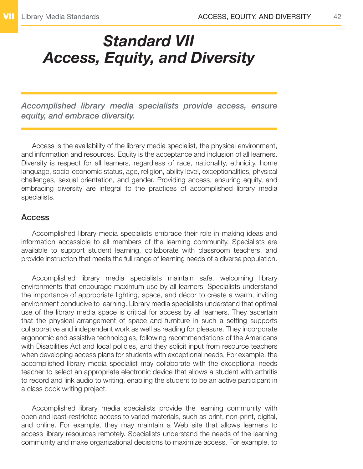### <span id="page-41-1"></span><span id="page-41-0"></span>*Standard VII Access, Equity, and Diversity*

*Accomplished library media specialists provide access, ensure equity, and embrace diversity.*

Access is the availability of the library media specialist, the physical environment, and information and resources. Equity is the acceptance and inclusion of all learners. Diversity is respect for all learners, regardless of race, nationality, ethnicity, home language, socio-economic status, age, religion, ability level, exceptionalities, physical challenges, sexual orientation, and gender. Providing access, ensuring equity, and embracing diversity are integral to the practices of accomplished library media specialists.

#### Access

Accomplished library media specialists embrace their role in making ideas and information accessible to all members of the learning community. Specialists are available to support student learning, collaborate with classroom teachers, and provide instruction that meets the full range of learning needs of a diverse population.

Accomplished library media specialists maintain safe, welcoming library environments that encourage maximum use by all learners. Specialists understand the importance of appropriate lighting, space, and décor to create a warm, inviting environment conducive to learning. Library media specialists understand that optimal use of the library media space is critical for access by all learners. They ascertain that the physical arrangement of space and furniture in such a setting supports collaborative and independent work as well as reading for pleasure. They incorporate ergonomic and assistive technologies, following recommendations of the Americans with Disabilities Act and local policies, and they solicit input from resource teachers when developing access plans for students with exceptional needs. For example, the accomplished library media specialist may collaborate with the exceptional needs teacher to select an appropriate electronic device that allows a student with arthritis to record and link audio to writing, enabling the student to be an active participant in a class book writing project.

Accomplished library media specialists provide the learning community with open and least-restricted access to varied materials, such as print, non-print, digital, and online. For example, they may maintain a Web site that allows learners to access library resources remotely. Specialists understand the needs of the learning community and make organizational decisions to maximize access. For example, to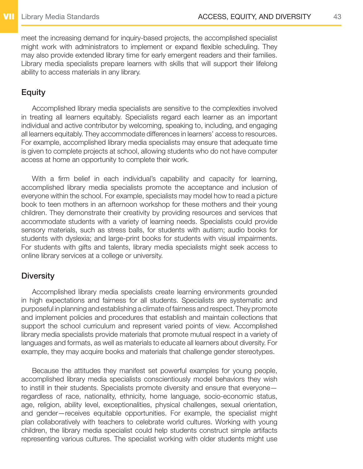meet the increasing demand for inquiry-based projects, the accomplished specialist might work with administrators to implement or expand flexible scheduling. They may also provide extended library time for early emergent readers and their families. Library media specialists prepare learners with skills that will support their lifelong ability to access materials in any library.

#### Equity

Accomplished library media specialists are sensitive to the complexities involved in treating all learners equitably. Specialists regard each learner as an important individual and active contributor by welcoming, speaking to, including, and engaging all learners equitably. They accommodate differences in learners' access to resources. For example, accomplished library media specialists may ensure that adequate time is given to complete projects at school, allowing students who do not have computer access at home an opportunity to complete their work.

With a firm belief in each individual's capability and capacity for learning, accomplished library media specialists promote the acceptance and inclusion of everyone within the school. For example, specialists may model how to read a picture book to teen mothers in an afternoon workshop for these mothers and their young children. They demonstrate their creativity by providing resources and services that accommodate students with a variety of learning needs. Specialists could provide sensory materials, such as stress balls, for students with autism; audio books for students with dyslexia; and large-print books for students with visual impairments. For students with gifts and talents, library media specialists might seek access to online library services at a college or university.

#### **Diversity**

Accomplished library media specialists create learning environments grounded in high expectations and fairness for all students. Specialists are systematic and purposeful in planning and establishing a climate of fairness and respect. They promote and implement policies and procedures that establish and maintain collections that support the school curriculum and represent varied points of view. Accomplished library media specialists provide materials that promote mutual respect in a variety of languages and formats, as well as materials to educate all learners about diversity. For example, they may acquire books and materials that challenge gender stereotypes.

Because the attitudes they manifest set powerful examples for young people, accomplished library media specialists conscientiously model behaviors they wish to instill in their students. Specialists promote diversity and ensure that everyone regardless of race, nationality, ethnicity, home language, socio-economic status, age, religion, ability level, exceptionalities, physical challenges, sexual orientation, and gender—receives equitable opportunities. For example, the specialist might plan collaboratively with teachers to celebrate world cultures. Working with young children, the library media specialist could help students construct simple artifacts representing various cultures. The specialist working with older students might use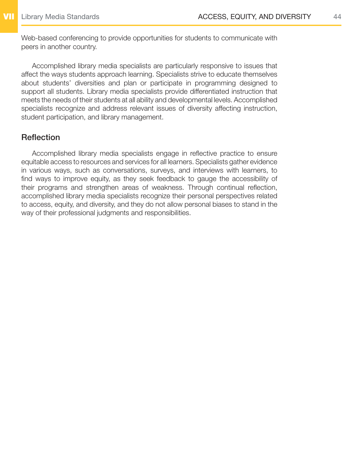Web-based conferencing to provide opportunities for students to communicate with peers in another country.

Accomplished library media specialists are particularly responsive to issues that affect the ways students approach learning. Specialists strive to educate themselves about students' diversities and plan or participate in programming designed to support all students. Library media specialists provide differentiated instruction that meets the needs of their students at all ability and developmental levels. Accomplished specialists recognize and address relevant issues of diversity affecting instruction, student participation, and library management.

#### **Reflection**

Accomplished library media specialists engage in reflective practice to ensure equitable access to resources and services for all learners. Specialists gather evidence in various ways, such as conversations, surveys, and interviews with learners, to find ways to improve equity, as they seek feedback to gauge the accessibility of their programs and strengthen areas of weakness. Through continual reflection, accomplished library media specialists recognize their personal perspectives related to access, equity, and diversity, and they do not allow personal biases to stand in the way of their professional judgments and responsibilities.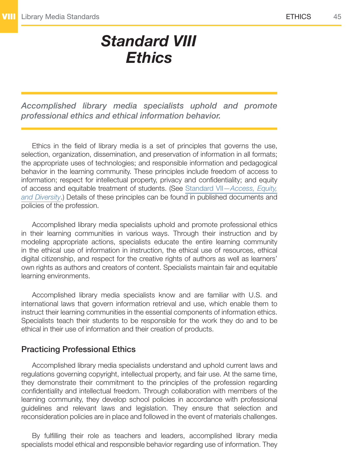### <span id="page-44-1"></span>*Standard VIII Ethics*

<span id="page-44-0"></span>*Accomplished library media specialists uphold and promote professional ethics and ethical information behavior.*

Ethics in the field of library media is a set of principles that governs the use, selection, organization, dissemination, and preservation of information in all formats; the appropriate uses of technologies; and responsible information and pedagogical behavior in the learning community. These principles include freedom of access to information; respect for intellectual property, privacy and confidentiality; and equity of access and equitable treatment of students. (See Standard VII—*[Access, Equity,](#page-41-1) [and Diversity](#page-41-1)*.) Details of these principles can be found in published documents and policies of the profession.

Accomplished library media specialists uphold and promote professional ethics in their learning communities in various ways. Through their instruction and by modeling appropriate actions, specialists educate the entire learning community in the ethical use of information in instruction, the ethical use of resources, ethical digital citizenship, and respect for the creative rights of authors as well as learners' own rights as authors and creators of content. Specialists maintain fair and equitable learning environments.

Accomplished library media specialists know and are familiar with U.S. and international laws that govern information retrieval and use, which enable them to instruct their learning communities in the essential components of information ethics. Specialists teach their students to be responsible for the work they do and to be ethical in their use of information and their creation of products.

#### Practicing Professional Ethics

Accomplished library media specialists understand and uphold current laws and regulations governing copyright, intellectual property, and fair use. At the same time, they demonstrate their commitment to the principles of the profession regarding confidentiality and intellectual freedom. Through collaboration with members of the learning community, they develop school policies in accordance with professional guidelines and relevant laws and legislation. They ensure that selection and reconsideration policies are in place and followed in the event of materials challenges.

By fulfilling their role as teachers and leaders, accomplished library media specialists model ethical and responsible behavior regarding use of information. They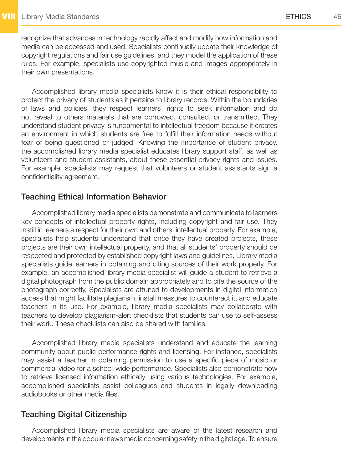recognize that advances in technology rapidly affect and modify how information and media can be accessed and used. Specialists continually update their knowledge of copyright regulations and fair use guidelines, and they model the application of these rules. For example, specialists use copyrighted music and images appropriately in their own presentations.

Accomplished library media specialists know it is their ethical responsibility to protect the privacy of students as it pertains to library records. Within the boundaries of laws and policies, they respect learners' rights to seek information and do not reveal to others materials that are borrowed, consulted, or transmitted. They understand student privacy is fundamental to intellectual freedom because it creates an environment in which students are free to fulfill their information needs without fear of being questioned or judged. Knowing the importance of student privacy, the accomplished library media specialist educates library support staff, as well as volunteers and student assistants, about these essential privacy rights and issues. For example, specialists may request that volunteers or student assistants sign a confidentiality agreement.

#### Teaching Ethical Information Behavior

Accomplished library media specialists demonstrate and communicate to learners key concepts of intellectual property rights, including copyright and fair use. They instill in learners a respect for their own and others' intellectual property. For example, specialists help students understand that once they have created projects, these projects are their own intellectual property, and that all students' property should be respected and protected by established copyright laws and guidelines. Library media specialists guide learners in obtaining and citing sources of their work properly. For example, an accomplished library media specialist will guide a student to retrieve a digital photograph from the public domain appropriately and to cite the source of the photograph correctly. Specialists are attuned to developments in digital information access that might facilitate plagiarism, install measures to counteract it, and educate teachers in its use. For example, library media specialists may collaborate with teachers to develop plagiarism-alert checklists that students can use to self-assess their work. These checklists can also be shared with families.

Accomplished library media specialists understand and educate the learning community about public performance rights and licensing. For instance, specialists may assist a teacher in obtaining permission to use a specific piece of music or commercial video for a school-wide performance. Specialists also demonstrate how to retrieve licensed information ethically using various technologies. For example, accomplished specialists assist colleagues and students in legally downloading audiobooks or other media files.

#### Teaching Digital Citizenship

Accomplished library media specialists are aware of the latest research and developments in the popular news media concerning safety in the digital age. To ensure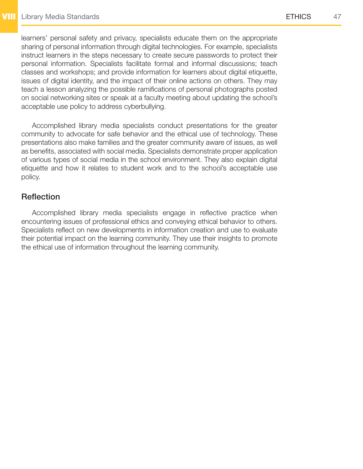learners' personal safety and privacy, specialists educate them on the appropriate sharing of personal information through digital technologies. For example, specialists instruct learners in the steps necessary to create secure passwords to protect their personal information. Specialists facilitate formal and informal discussions; teach classes and workshops; and provide information for learners about digital etiquette, issues of digital identity, and the impact of their online actions on others. They may teach a lesson analyzing the possible ramifications of personal photographs posted on social networking sites or speak at a faculty meeting about updating the school's acceptable use policy to address cyberbullying.

Accomplished library media specialists conduct presentations for the greater community to advocate for safe behavior and the ethical use of technology. These presentations also make families and the greater community aware of issues, as well as benefits, associated with social media. Specialists demonstrate proper application of various types of social media in the school environment. They also explain digital etiquette and how it relates to student work and to the school's acceptable use policy.

#### **Reflection**

Accomplished library media specialists engage in reflective practice when encountering issues of professional ethics and conveying ethical behavior to others. Specialists reflect on new developments in information creation and use to evaluate their potential impact on the learning community. They use their insights to promote the ethical use of information throughout the learning community.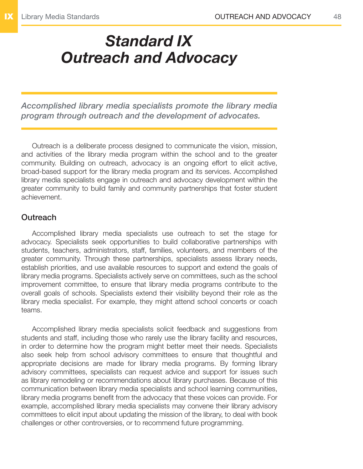# <span id="page-47-1"></span><span id="page-47-0"></span>*Standard IX Outreach and Advocacy*

*Accomplished library media specialists promote the library media program through outreach and the development of advocates.*

Outreach is a deliberate process designed to communicate the vision, mission, and activities of the library media program within the school and to the greater community. Building on outreach, advocacy is an ongoing effort to elicit active, broad-based support for the library media program and its services. Accomplished library media specialists engage in outreach and advocacy development within the greater community to build family and community partnerships that foster student achievement.

#### **Outreach**

Accomplished library media specialists use outreach to set the stage for advocacy. Specialists seek opportunities to build collaborative partnerships with students, teachers, administrators, staff, families, volunteers, and members of the greater community. Through these partnerships, specialists assess library needs, establish priorities, and use available resources to support and extend the goals of library media programs. Specialists actively serve on committees, such as the school improvement committee, to ensure that library media programs contribute to the overall goals of schools. Specialists extend their visibility beyond their role as the library media specialist. For example, they might attend school concerts or coach teams.

Accomplished library media specialists solicit feedback and suggestions from students and staff, including those who rarely use the library facility and resources, in order to determine how the program might better meet their needs. Specialists also seek help from school advisory committees to ensure that thoughtful and appropriate decisions are made for library media programs. By forming library advisory committees, specialists can request advice and support for issues such as library remodeling or recommendations about library purchases. Because of this communication between library media specialists and school learning communities, library media programs benefit from the advocacy that these voices can provide. For example, accomplished library media specialists may convene their library advisory committees to elicit input about updating the mission of the library, to deal with book challenges or other controversies, or to recommend future programming.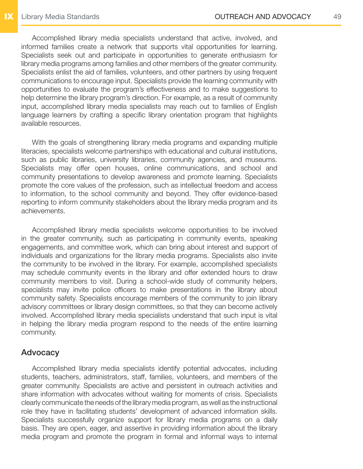Accomplished library media specialists understand that active, involved, and informed families create a network that supports vital opportunities for learning. Specialists seek out and participate in opportunities to generate enthusiasm for library media programs among families and other members of the greater community. Specialists enlist the aid of families, volunteers, and other partners by using frequent communications to encourage input. Specialists provide the learning community with opportunities to evaluate the program's effectiveness and to make suggestions to help determine the library program's direction. For example, as a result of community input, accomplished library media specialists may reach out to families of English language learners by crafting a specific library orientation program that highlights available resources.

With the goals of strengthening library media programs and expanding multiple literacies, specialists welcome partnerships with educational and cultural institutions, such as public libraries, university libraries, community agencies, and museums. Specialists may offer open houses, online communications, and school and community presentations to develop awareness and promote learning. Specialists promote the core values of the profession, such as intellectual freedom and access to information, to the school community and beyond. They offer evidence-based reporting to inform community stakeholders about the library media program and its achievements.

Accomplished library media specialists welcome opportunities to be involved in the greater community, such as participating in community events, speaking engagements, and committee work, which can bring about interest and support of individuals and organizations for the library media programs. Specialists also invite the community to be involved in the library. For example, accomplished specialists may schedule community events in the library and offer extended hours to draw community members to visit. During a school-wide study of community helpers, specialists may invite police officers to make presentations in the library about community safety. Specialists encourage members of the community to join library advisory committees or library design committees, so that they can become actively involved. Accomplished library media specialists understand that such input is vital in helping the library media program respond to the needs of the entire learning community.

#### Advocacy

Accomplished library media specialists identify potential advocates, including students, teachers, administrators, staff, families, volunteers, and members of the greater community. Specialists are active and persistent in outreach activities and share information with advocates without waiting for moments of crisis. Specialists clearly communicate the needs of the library media program, as well as the instructional role they have in facilitating students' development of advanced information skills. Specialists successfully organize support for library media programs on a daily basis. They are open, eager, and assertive in providing information about the library media program and promote the program in formal and informal ways to internal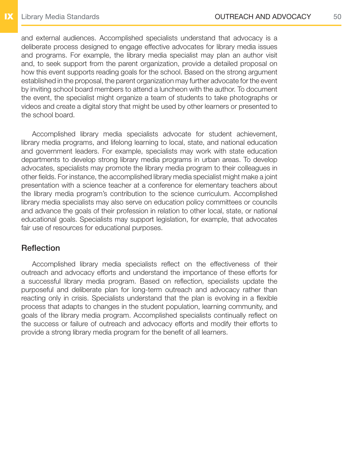and external audiences. Accomplished specialists understand that advocacy is a deliberate process designed to engage effective advocates for library media issues and programs. For example, the library media specialist may plan an author visit and, to seek support from the parent organization, provide a detailed proposal on how this event supports reading goals for the school. Based on the strong argument established in the proposal, the parent organization may further advocate for the event by inviting school board members to attend a luncheon with the author. To document the event, the specialist might organize a team of students to take photographs or videos and create a digital story that might be used by other learners or presented to the school board.

Accomplished library media specialists advocate for student achievement, library media programs, and lifelong learning to local, state, and national education and government leaders. For example, specialists may work with state education departments to develop strong library media programs in urban areas. To develop advocates, specialists may promote the library media program to their colleagues in other fields. For instance, the accomplished library media specialist might make a joint presentation with a science teacher at a conference for elementary teachers about the library media program's contribution to the science curriculum. Accomplished library media specialists may also serve on education policy committees or councils and advance the goals of their profession in relation to other local, state, or national educational goals. Specialists may support legislation, for example, that advocates fair use of resources for educational purposes.

#### **Reflection**

Accomplished library media specialists reflect on the effectiveness of their outreach and advocacy efforts and understand the importance of these efforts for a successful library media program. Based on reflection, specialists update the purposeful and deliberate plan for long-term outreach and advocacy rather than reacting only in crisis. Specialists understand that the plan is evolving in a flexible process that adapts to changes in the student population, learning community, and goals of the library media program. Accomplished specialists continually reflect on the success or failure of outreach and advocacy efforts and modify their efforts to provide a strong library media program for the benefit of all learners.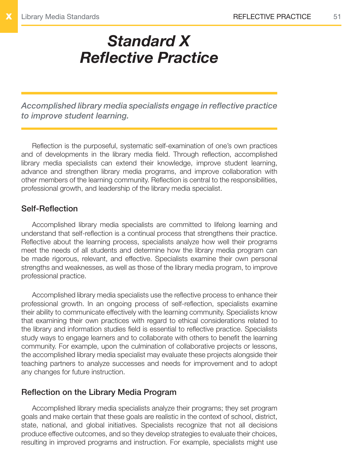# <span id="page-50-1"></span><span id="page-50-0"></span>*Standard X Reflective Practice*

*Accomplished library media specialists engage in reflective practice to improve student learning.*

Reflection is the purposeful, systematic self-examination of one's own practices and of developments in the library media field. Through reflection, accomplished library media specialists can extend their knowledge, improve student learning, advance and strengthen library media programs, and improve collaboration with other members of the learning community. Reflection is central to the responsibilities, professional growth, and leadership of the library media specialist.

#### Self-Reflection

Accomplished library media specialists are committed to lifelong learning and understand that self-reflection is a continual process that strengthens their practice. Reflective about the learning process, specialists analyze how well their programs meet the needs of all students and determine how the library media program can be made rigorous, relevant, and effective. Specialists examine their own personal strengths and weaknesses, as well as those of the library media program, to improve professional practice.

Accomplished library media specialists use the reflective process to enhance their professional growth. In an ongoing process of self-reflection, specialists examine their ability to communicate effectively with the learning community. Specialists know that examining their own practices with regard to ethical considerations related to the library and information studies field is essential to reflective practice. Specialists study ways to engage learners and to collaborate with others to benefit the learning community. For example, upon the culmination of collaborative projects or lessons, the accomplished library media specialist may evaluate these projects alongside their teaching partners to analyze successes and needs for improvement and to adopt any changes for future instruction.

#### Reflection on the Library Media Program

Accomplished library media specialists analyze their programs; they set program goals and make certain that these goals are realistic in the context of school, district, state, national, and global initiatives. Specialists recognize that not all decisions produce effective outcomes, and so they develop strategies to evaluate their choices, resulting in improved programs and instruction. For example, specialists might use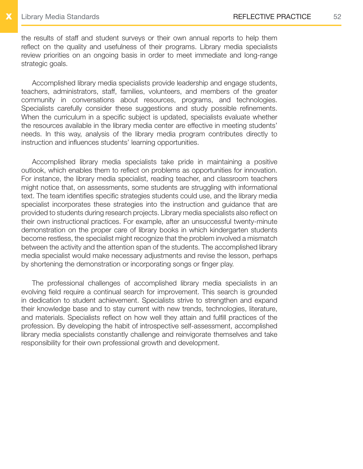the results of staff and student surveys or their own annual reports to help them reflect on the quality and usefulness of their programs. Library media specialists review priorities on an ongoing basis in order to meet immediate and long-range strategic goals.

Accomplished library media specialists provide leadership and engage students, teachers, administrators, staff, families, volunteers, and members of the greater community in conversations about resources, programs, and technologies. Specialists carefully consider these suggestions and study possible refinements. When the curriculum in a specific subject is updated, specialists evaluate whether the resources available in the library media center are effective in meeting students' needs. In this way, analysis of the library media program contributes directly to instruction and influences students' learning opportunities.

Accomplished library media specialists take pride in maintaining a positive outlook, which enables them to reflect on problems as opportunities for innovation. For instance, the library media specialist, reading teacher, and classroom teachers might notice that, on assessments, some students are struggling with informational text. The team identifies specific strategies students could use, and the library media specialist incorporates these strategies into the instruction and guidance that are provided to students during research projects. Library media specialists also reflect on their own instructional practices. For example, after an unsuccessful twenty-minute demonstration on the proper care of library books in which kindergarten students become restless, the specialist might recognize that the problem involved a mismatch between the activity and the attention span of the students. The accomplished library media specialist would make necessary adjustments and revise the lesson, perhaps by shortening the demonstration or incorporating songs or finger play.

The professional challenges of accomplished library media specialists in an evolving field require a continual search for improvement. This search is grounded in dedication to student achievement. Specialists strive to strengthen and expand their knowledge base and to stay current with new trends, technologies, literature, and materials. Specialists reflect on how well they attain and fulfill practices of the profession. By developing the habit of introspective self-assessment, accomplished library media specialists constantly challenge and reinvigorate themselves and take responsibility for their own professional growth and development.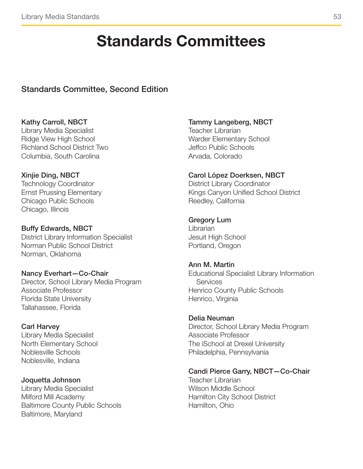# Standards Committees

#### <span id="page-52-0"></span>Standards Committee, Second Edition

#### Kathy Carroll, NBCT

Library Media Specialist Ridge View High School Richland School District Two Columbia, South Carolina

#### Xinjie Ding, NBCT

Technology Coordinator Ernst Prussing Elementary Chicago Public Schools Chicago, Illinois

#### Buffy Edwards, NBCT

District Library Information Specialist Norman Public School District Norman, Oklahoma

#### Nancy Everhart—Co-Chair

Director, School Library Media Program Associate Professor Florida State University Tallahassee, Florida

#### Carl Harvey

Library Media Specialist North Elementary School Noblesville Schools Noblesville, Indiana

#### Joquetta Johnson

Library Media Specialist Milford Mill Academy Baltimore County Public Schools Baltimore, Maryland

#### Tammy Langeberg, NBCT

Teacher Librarian Warder Elementary School Jeffco Public Schools Arvada, Colorado

#### Carol López Doerksen, NBCT

District Library Coordinator Kings Canyon Unified School District Reedley, California

#### Gregory Lum

Librarian Jesuit High School Portland, Oregon

#### Ann M. Martin

Educational Specialist Library Information Services Henrico County Public Schools Henrico, Virginia

#### Delia Neuman

Director, School Library Media Program Associate Professor The iSchool at Drexel University Philadelphia, Pennsylvania

#### Candi Pierce Garry, NBCT—Co-Chair

Teacher Librarian Wilson Middle School Hamilton City School District Hamilton, Ohio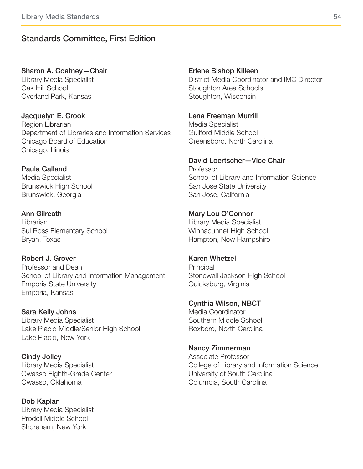#### Standards Committee, First Edition

#### Sharon A. Coatney—Chair

Library Media Specialist Oak Hill School Overland Park, Kansas

Jacquelyn E. Crook Region Librarian Department of Libraries and Information Services Chicago Board of Education Chicago, Illinois

#### Paula Galland

Media Specialist Brunswick High School Brunswick, Georgia

#### Ann Gilreath

Librarian Sul Ross Elementary School Bryan, Texas

#### Robert J. Grover

Professor and Dean School of Library and Information Management Emporia State University Emporia, Kansas

Sara Kelly Johns

Library Media Specialist Lake Placid Middle/Senior High School Lake Placid, New York

Cindy Jolley Library Media Specialist Owasso Eighth-Grade Center Owasso, Oklahoma

Bob Kaplan Library Media Specialist Prodell Middle School Shoreham, New York

#### Erlene Bishop Killeen

District Media Coordinator and IMC Director Stoughton Area Schools Stoughton, Wisconsin

Lena Freeman Murrill

Media Specialist Guilford Middle School Greensboro, North Carolina

#### David Loertscher—Vice Chair

Professor School of Library and Information Science San Jose State University San Jose, California

#### Mary Lou O'Connor

Library Media Specialist Winnacunnet High School Hampton, New Hampshire

#### Karen Whetzel

**Principal** Stonewall Jackson High School Quicksburg, Virginia

### Cynthia Wilson, NBCT

Media Coordinator Southern Middle School Roxboro, North Carolina

#### Nancy Zimmerman

Associate Professor College of Library and Information Science University of South Carolina Columbia, South Carolina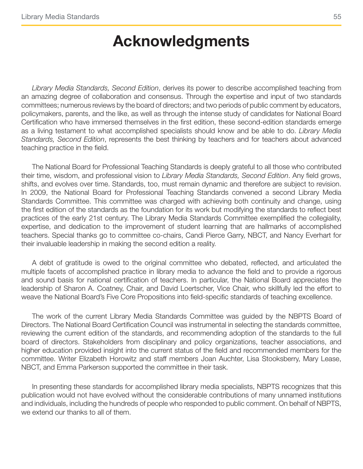### Acknowledgments

<span id="page-54-0"></span>*Library Media Standards, Second Edition*, derives its power to describe accomplished teaching from an amazing degree of collaboration and consensus. Through the expertise and input of two standards committees; numerous reviews by the board of directors; and two periods of public comment by educators, policymakers, parents, and the like, as well as through the intense study of candidates for National Board Certification who have immersed themselves in the first edition, these second-edition standards emerge as a living testament to what accomplished specialists should know and be able to do. *Library Media Standards, Second Edition*, represents the best thinking by teachers and for teachers about advanced teaching practice in the field.

The National Board for Professional Teaching Standards is deeply grateful to all those who contributed their time, wisdom, and professional vision to *Library Media Standards, Second Edition*. Any field grows, shifts, and evolves over time. Standards, too, must remain dynamic and therefore are subject to revision. In 2009, the National Board for Professional Teaching Standards convened a second Library Media Standards Committee. This committee was charged with achieving both continuity and change, using the first edition of the standards as the foundation for its work but modifying the standards to reflect best practices of the early 21st century. The Library Media Standards Committee exemplified the collegiality, expertise, and dedication to the improvement of student learning that are hallmarks of accomplished teachers. Special thanks go to committee co-chairs, Candi Pierce Garry, NBCT, and Nancy Everhart for their invaluable leadership in making the second edition a reality.

A debt of gratitude is owed to the original committee who debated, reflected, and articulated the multiple facets of accomplished practice in library media to advance the field and to provide a rigorous and sound basis for national certification of teachers. In particular, the National Board appreciates the leadership of Sharon A. Coatney, Chair, and David Loertscher, Vice Chair, who skillfully led the effort to weave the National Board's Five Core Propositions into field-specific standards of teaching excellence.

The work of the current Library Media Standards Committee was guided by the NBPTS Board of Directors. The National Board Certification Council was instrumental in selecting the standards committee, reviewing the current edition of the standards, and recommending adoption of the standards to the full board of directors. Stakeholders from disciplinary and policy organizations, teacher associations, and higher education provided insight into the current status of the field and recommended members for the committee. Writer Elizabeth Horowitz and staff members Joan Auchter, Lisa Stooksberry, Mary Lease, NBCT, and Emma Parkerson supported the committee in their task.

In presenting these standards for accomplished library media specialists, NBPTS recognizes that this publication would not have evolved without the considerable contributions of many unnamed institutions and individuals, including the hundreds of people who responded to public comment. On behalf of NBPTS, we extend our thanks to all of them.